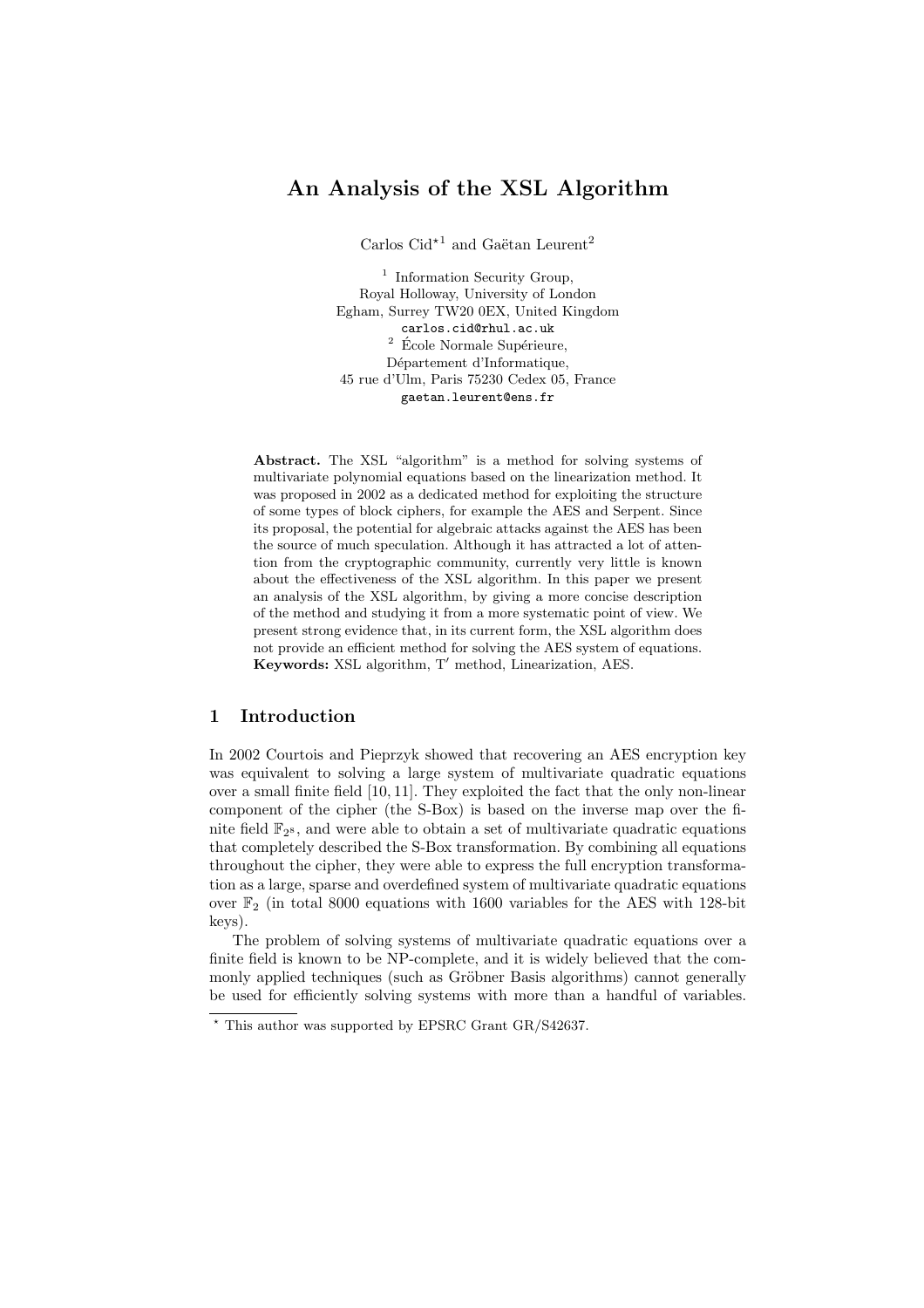# An Analysis of the XSL Algorithm

Carlos Cid<sup>\*1</sup> and Gaëtan Leurent<sup>2</sup>

<sup>1</sup> Information Security Group, Royal Holloway, University of London Egham, Surrey TW20 0EX, United Kingdom carlos.cid@rhul.ac.uk  $2\,$  École Normale Supérieure, Département d'Informatique, 45 rue d'Ulm, Paris 75230 Cedex 05, France gaetan.leurent@ens.fr

Abstract. The XSL "algorithm" is a method for solving systems of multivariate polynomial equations based on the linearization method. It was proposed in 2002 as a dedicated method for exploiting the structure of some types of block ciphers, for example the AES and Serpent. Since its proposal, the potential for algebraic attacks against the AES has been the source of much speculation. Although it has attracted a lot of attention from the cryptographic community, currently very little is known about the effectiveness of the XSL algorithm. In this paper we present an analysis of the XSL algorithm, by giving a more concise description of the method and studying it from a more systematic point of view. We present strong evidence that, in its current form, the XSL algorithm does not provide an efficient method for solving the AES system of equations. Keywords: XSL algorithm, T' method, Linearization, AES.

### 1 Introduction

In 2002 Courtois and Pieprzyk showed that recovering an AES encryption key was equivalent to solving a large system of multivariate quadratic equations over a small finite field [10, 11]. They exploited the fact that the only non-linear component of the cipher (the S-Box) is based on the inverse map over the finite field F<sup>2</sup> <sup>8</sup> , and were able to obtain a set of multivariate quadratic equations that completely described the S-Box transformation. By combining all equations throughout the cipher, they were able to express the full encryption transformation as a large, sparse and overdefined system of multivariate quadratic equations over  $\mathbb{F}_2$  (in total 8000 equations with 1600 variables for the AES with 128-bit keys).

The problem of solving systems of multivariate quadratic equations over a finite field is known to be NP-complete, and it is widely believed that the commonly applied techniques (such as Gröbner Basis algorithms) cannot generally be used for efficiently solving systems with more than a handful of variables.

<sup>?</sup> This author was supported by EPSRC Grant GR/S42637.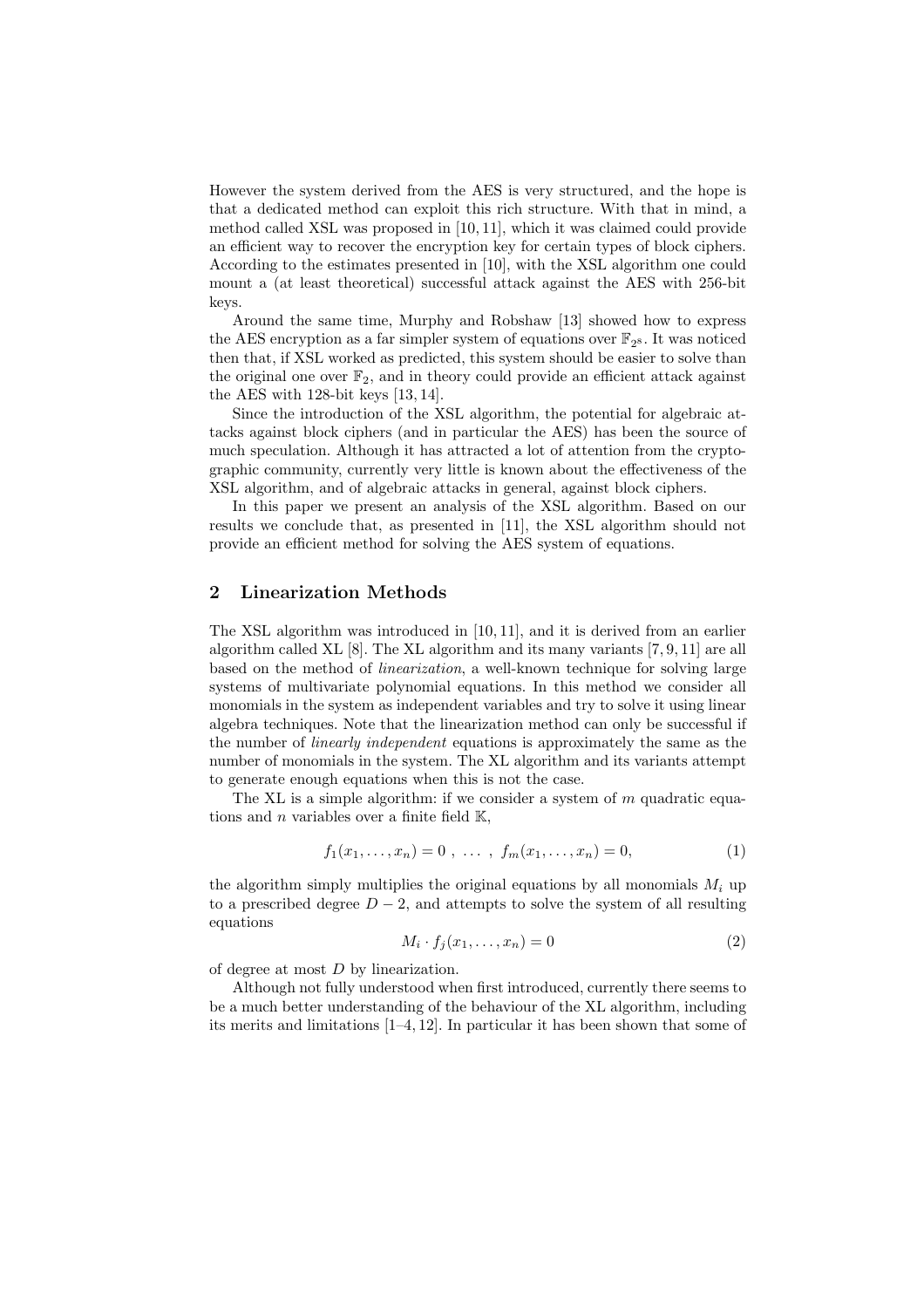However the system derived from the AES is very structured, and the hope is that a dedicated method can exploit this rich structure. With that in mind, a method called XSL was proposed in [10, 11], which it was claimed could provide an efficient way to recover the encryption key for certain types of block ciphers. According to the estimates presented in [10], with the XSL algorithm one could mount a (at least theoretical) successful attack against the AES with 256-bit keys.

Around the same time, Murphy and Robshaw [13] showed how to express the AES encryption as a far simpler system of equations over  $\mathbb{F}_{2^8}$ . It was noticed then that, if XSL worked as predicted, this system should be easier to solve than the original one over  $\mathbb{F}_2$ , and in theory could provide an efficient attack against the AES with 128-bit keys [13, 14].

Since the introduction of the XSL algorithm, the potential for algebraic attacks against block ciphers (and in particular the AES) has been the source of much speculation. Although it has attracted a lot of attention from the cryptographic community, currently very little is known about the effectiveness of the XSL algorithm, and of algebraic attacks in general, against block ciphers.

In this paper we present an analysis of the XSL algorithm. Based on our results we conclude that, as presented in [11], the XSL algorithm should not provide an efficient method for solving the AES system of equations.

#### 2 Linearization Methods

The XSL algorithm was introduced in [10, 11], and it is derived from an earlier algorithm called XL [8]. The XL algorithm and its many variants [7, 9, 11] are all based on the method of linearization, a well-known technique for solving large systems of multivariate polynomial equations. In this method we consider all monomials in the system as independent variables and try to solve it using linear algebra techniques. Note that the linearization method can only be successful if the number of linearly independent equations is approximately the same as the number of monomials in the system. The XL algorithm and its variants attempt to generate enough equations when this is not the case.

The XL is a simple algorithm: if we consider a system of  $m$  quadratic equations and n variables over a finite field  $K$ ,

$$
f_1(x_1, \ldots, x_n) = 0 \;, \; \ldots \; , \; f_m(x_1, \ldots, x_n) = 0, \tag{1}
$$

the algorithm simply multiplies the original equations by all monomials  $M_i$  up to a prescribed degree  $D-2$ , and attempts to solve the system of all resulting equations

$$
M_i \cdot f_j(x_1, \dots, x_n) = 0 \tag{2}
$$

of degree at most D by linearization.

Although not fully understood when first introduced, currently there seems to be a much better understanding of the behaviour of the XL algorithm, including its merits and limitations [1–4, 12]. In particular it has been shown that some of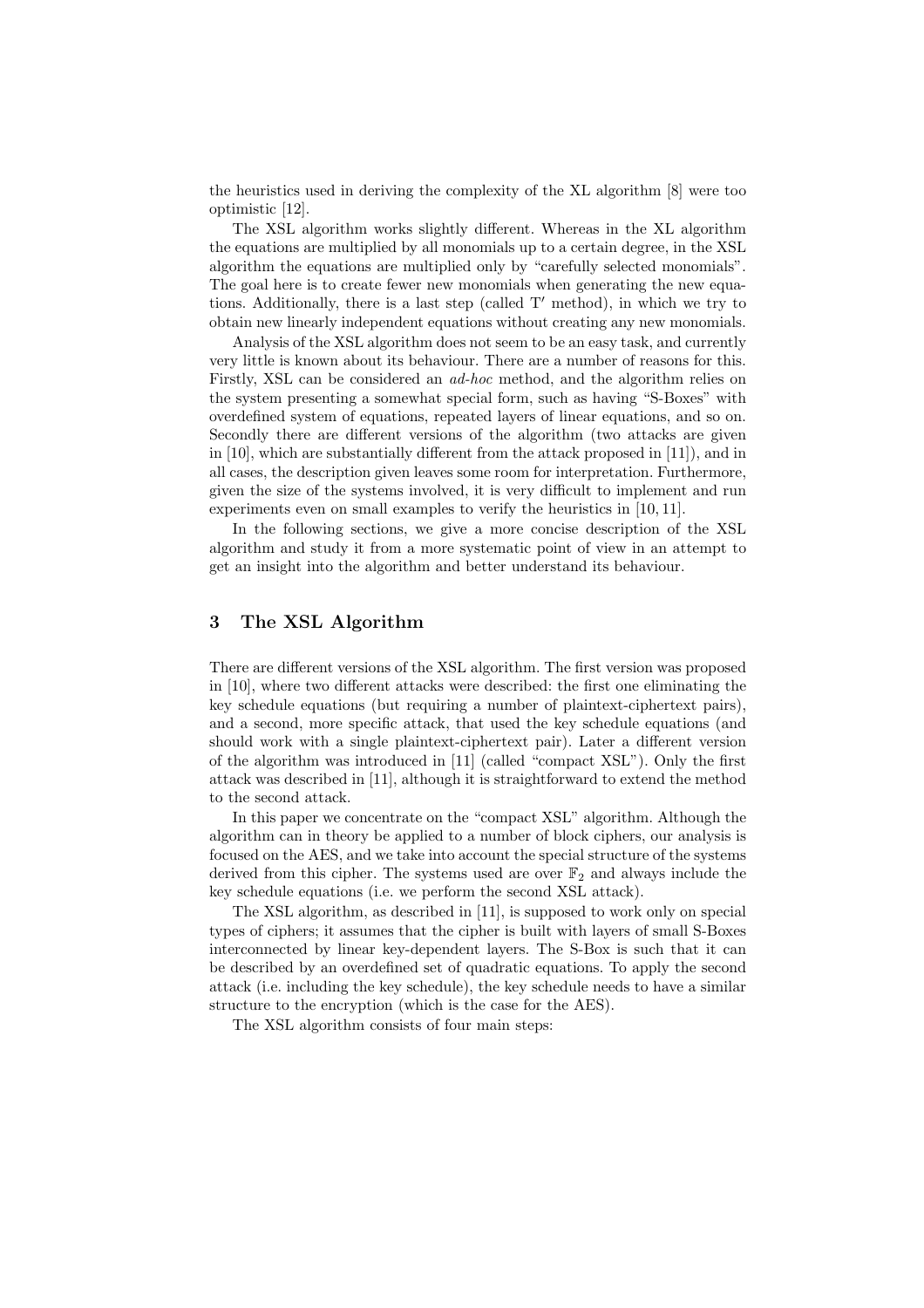the heuristics used in deriving the complexity of the XL algorithm [8] were too optimistic [12].

The XSL algorithm works slightly different. Whereas in the XL algorithm the equations are multiplied by all monomials up to a certain degree, in the XSL algorithm the equations are multiplied only by "carefully selected monomials". The goal here is to create fewer new monomials when generating the new equations. Additionally, there is a last step (called  $T'$  method), in which we try to obtain new linearly independent equations without creating any new monomials.

Analysis of the XSL algorithm does not seem to be an easy task, and currently very little is known about its behaviour. There are a number of reasons for this. Firstly, XSL can be considered an ad-hoc method, and the algorithm relies on the system presenting a somewhat special form, such as having "S-Boxes" with overdefined system of equations, repeated layers of linear equations, and so on. Secondly there are different versions of the algorithm (two attacks are given in [10], which are substantially different from the attack proposed in [11]), and in all cases, the description given leaves some room for interpretation. Furthermore, given the size of the systems involved, it is very difficult to implement and run experiments even on small examples to verify the heuristics in [10, 11].

In the following sections, we give a more concise description of the XSL algorithm and study it from a more systematic point of view in an attempt to get an insight into the algorithm and better understand its behaviour.

### 3 The XSL Algorithm

There are different versions of the XSL algorithm. The first version was proposed in [10], where two different attacks were described: the first one eliminating the key schedule equations (but requiring a number of plaintext-ciphertext pairs), and a second, more specific attack, that used the key schedule equations (and should work with a single plaintext-ciphertext pair). Later a different version of the algorithm was introduced in [11] (called "compact XSL"). Only the first attack was described in [11], although it is straightforward to extend the method to the second attack.

In this paper we concentrate on the "compact XSL" algorithm. Although the algorithm can in theory be applied to a number of block ciphers, our analysis is focused on the AES, and we take into account the special structure of the systems derived from this cipher. The systems used are over  $\mathbb{F}_2$  and always include the key schedule equations (i.e. we perform the second XSL attack).

The XSL algorithm, as described in [11], is supposed to work only on special types of ciphers; it assumes that the cipher is built with layers of small S-Boxes interconnected by linear key-dependent layers. The S-Box is such that it can be described by an overdefined set of quadratic equations. To apply the second attack (i.e. including the key schedule), the key schedule needs to have a similar structure to the encryption (which is the case for the AES).

The XSL algorithm consists of four main steps: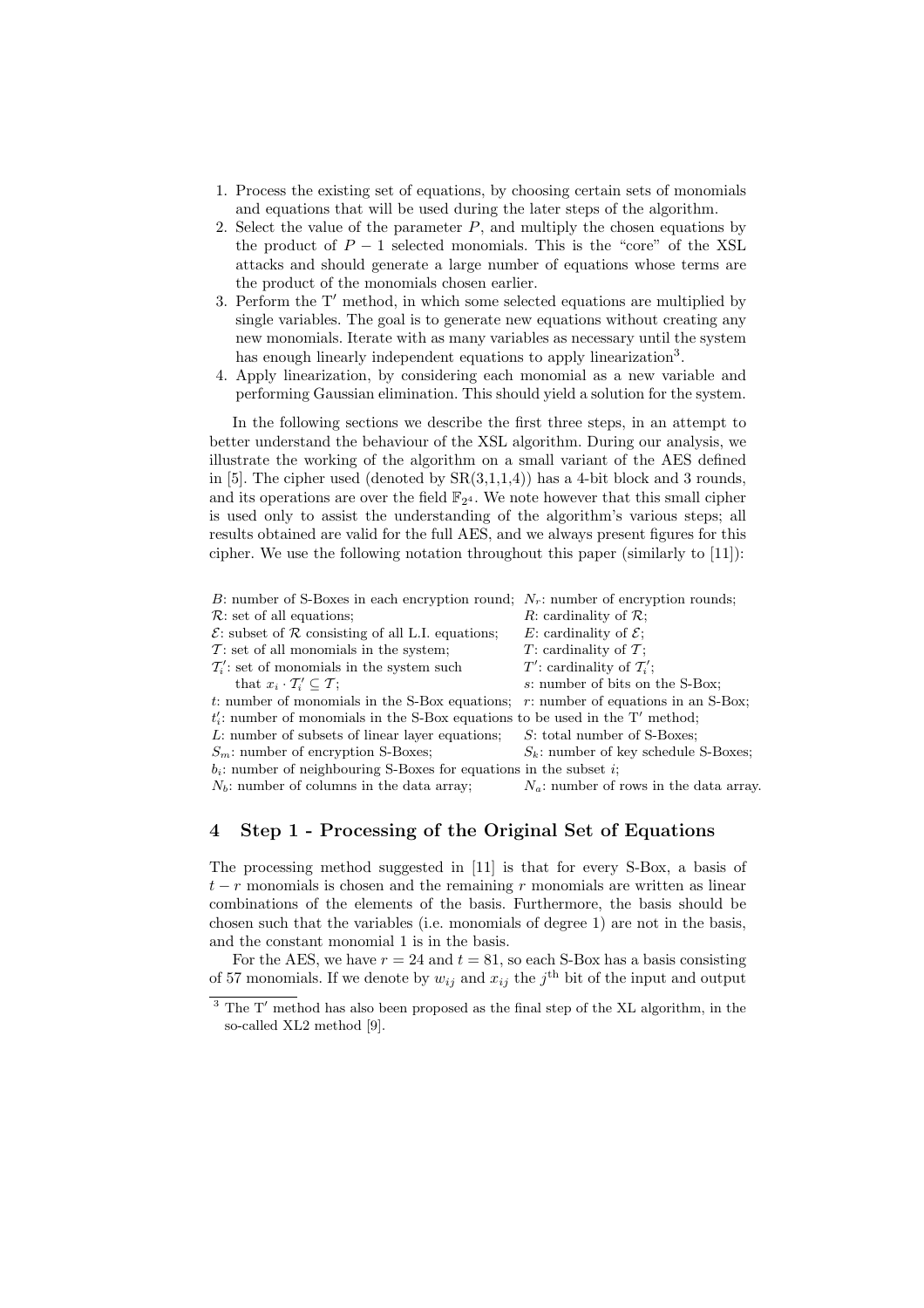- 1. Process the existing set of equations, by choosing certain sets of monomials and equations that will be used during the later steps of the algorithm.
- 2. Select the value of the parameter  $P$ , and multiply the chosen equations by the product of  $P-1$  selected monomials. This is the "core" of the XSL attacks and should generate a large number of equations whose terms are the product of the monomials chosen earlier.
- 3. Perform the  $T'$  method, in which some selected equations are multiplied by single variables. The goal is to generate new equations without creating any new monomials. Iterate with as many variables as necessary until the system has enough linearly independent equations to apply linearization<sup>3</sup>.
- 4. Apply linearization, by considering each monomial as a new variable and performing Gaussian elimination. This should yield a solution for the system.

In the following sections we describe the first three steps, in an attempt to better understand the behaviour of the XSL algorithm. During our analysis, we illustrate the working of the algorithm on a small variant of the AES defined in [5]. The cipher used (denoted by  $SR(3,1,1,4)$ ) has a 4-bit block and 3 rounds, and its operations are over the field  $\mathbb{F}_{2^4}$ . We note however that this small cipher is used only to assist the understanding of the algorithm's various steps; all results obtained are valid for the full AES, and we always present figures for this cipher. We use the following notation throughout this paper (similarly to [11]):

| B: number of S-Boxes in each encryption round; $N_r$ : number of encryption rounds; |  |                                                                                      |  |  |  |  |  |
|-------------------------------------------------------------------------------------|--|--------------------------------------------------------------------------------------|--|--|--|--|--|
| $\mathcal{R}$ : set of all equations;                                               |  | R: cardinality of $\mathcal{R}$ :                                                    |  |  |  |  |  |
| $\mathcal{E}$ : subset of $\mathcal{R}$ consisting of all L.I. equations;           |  | E: cardinality of $\mathcal{E}$ :                                                    |  |  |  |  |  |
| $\mathcal{T}$ : set of all monomials in the system;                                 |  | $T:$ cardinality of $T:$                                                             |  |  |  |  |  |
| $\mathcal{T}'_i$ : set of monomials in the system such                              |  | $T'$ : cardinality of $\mathcal{T}'_i$ ;                                             |  |  |  |  |  |
| that $x_i \cdot \mathcal{T}'_i \subset \mathcal{T}$ ;                               |  | s: number of bits on the S-Box;                                                      |  |  |  |  |  |
|                                                                                     |  | t: number of monomials in the S-Box equations; $r:$ number of equations in an S-Box; |  |  |  |  |  |
| $t_i$ : number of monomials in the S-Box equations to be used in the T' method;     |  |                                                                                      |  |  |  |  |  |
| L: number of subsets of linear layer equations;                                     |  | <i>S</i> : total number of S-Boxes;                                                  |  |  |  |  |  |
| $S_m$ : number of encryption S-Boxes;                                               |  | $S_k$ : number of key schedule S-Boxes;                                              |  |  |  |  |  |
| $b_i$ : number of neighbouring S-Boxes for equations in the subset i;               |  |                                                                                      |  |  |  |  |  |
| $N_b$ : number of columns in the data array;                                        |  | $N_a$ : number of rows in the data array.                                            |  |  |  |  |  |
|                                                                                     |  |                                                                                      |  |  |  |  |  |

## 4 Step 1 - Processing of the Original Set of Equations

The processing method suggested in [11] is that for every S-Box, a basis of  $t - r$  monomials is chosen and the remaining r monomials are written as linear combinations of the elements of the basis. Furthermore, the basis should be chosen such that the variables (i.e. monomials of degree 1) are not in the basis, and the constant monomial 1 is in the basis.

For the AES, we have  $r = 24$  and  $t = 81$ , so each S-Box has a basis consisting of 57 monomials. If we denote by  $w_{ij}$  and  $x_{ij}$  the j<sup>th</sup> bit of the input and output

 $3$  The T' method has also been proposed as the final step of the XL algorithm, in the so-called XL2 method [9].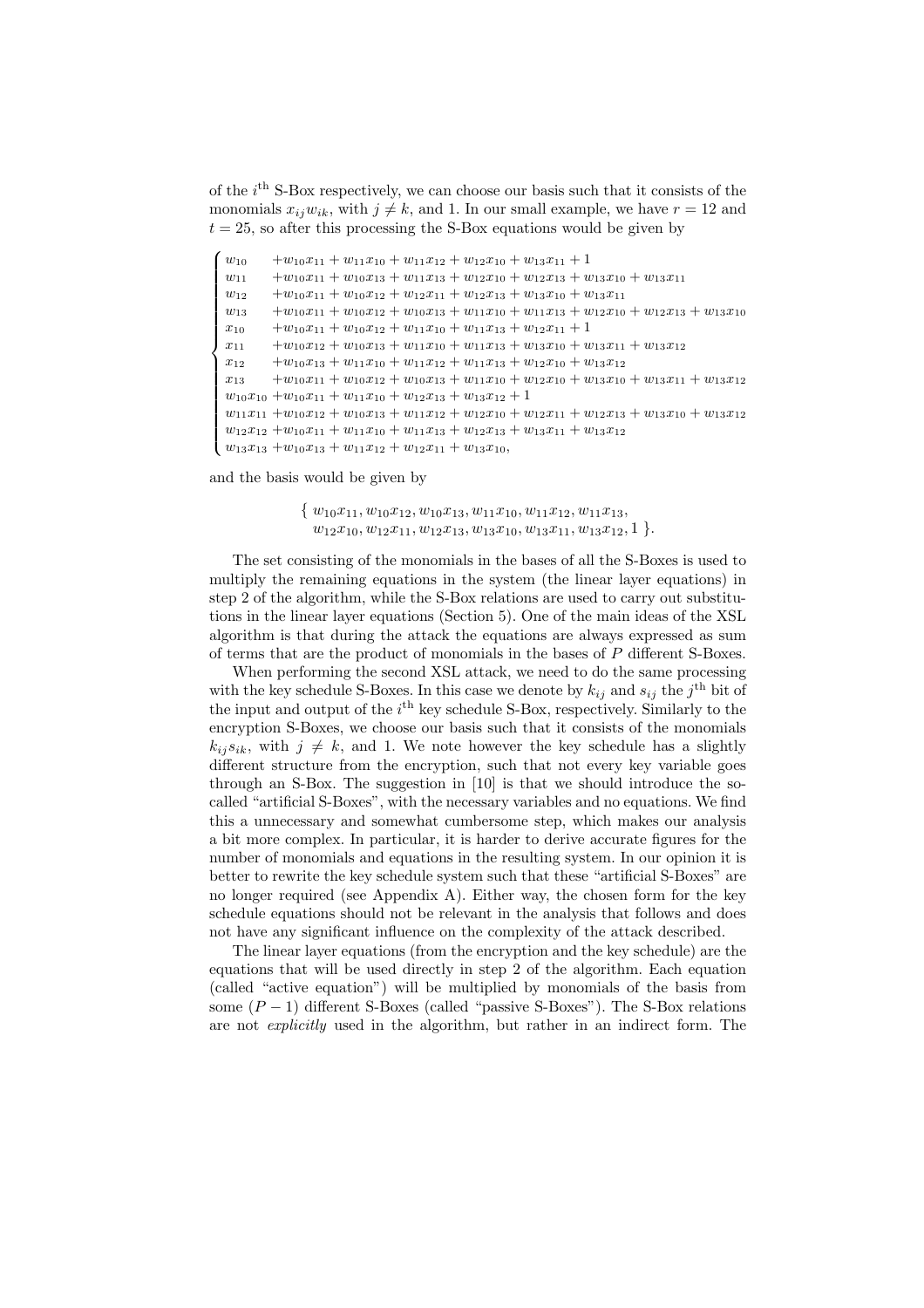of the  $i<sup>th</sup>$  S-Box respectively, we can choose our basis such that it consists of the monomials  $x_{ij}w_{ik}$ , with  $j \neq k$ , and 1. In our small example, we have  $r = 12$  and  $t = 25$ , so after this processing the S-Box equations would be given by

```
\overline{a}\begin{bmatrix} \phantom{-} \end{bmatrix}
    w_{10} +w_{10}x_{11} + w_{11}x_{10} + w_{11}x_{12} + w_{12}x_{10} + w_{13}x_{11} + 1w_{11} +w<sub>10</sub>x<sub>11</sub> + w<sub>10</sub>x<sub>13</sub> + w<sub>11</sub>x<sub>13</sub> + w<sub>12</sub>x<sub>10</sub> + w<sub>12</sub>x<sub>13</sub> + w<sub>13</sub>x<sub>10</sub> + w<sub>13</sub>x<sub>11</sub>
   w_{12} + w_{10}x_{11} + w_{10}x_{12} + w_{12}x_{11} + w_{12}x_{13} + w_{13}x_{10} + w_{13}x_{11}w_{13} +w_{10}x_{11} + w_{10}x_{12} + w_{10}x_{13} + w_{11}x_{10} + w_{11}x_{13} + w_{12}x_{10} + w_{12}x_{13} + w_{13}x_{10}x_{10} +w<sub>10</sub>x_{11} + w<sub>10</sub>x_{12} + w<sub>11</sub>x_{10} + w<sub>11</sub>x_{13} + w<sub>12</sub>x_{11} + 1
   x_{11} +x_{10}x_{12} + w_{10}x_{13} + w_{11}x_{10} + w_{11}x_{13} + w_{13}x_{10} + w_{13}x_{11} + w_{13}x_{12}x_{12} +w<sub>10</sub>x<sub>13</sub> + w<sub>11</sub>x<sub>10</sub> + w<sub>11</sub>x<sub>12</sub> + w<sub>11</sub>x<sub>13</sub> + w<sub>12</sub>x<sub>10</sub> + w<sub>13</sub>x<sub>12</sub>
   x_{13} +x_{10}x_{11} + w_{10}x_{12} + w_{10}x_{13} + w_{11}x_{10} + w_{12}x_{10} + w_{13}x_{10} + w_{13}x_{11} + w_{13}x_{12}w_{10}x_{10} + w_{10}x_{11} + w_{11}x_{10} + w_{12}x_{13} + w_{13}x_{12} + 1w_{11}x_{11} + w_{10}x_{12} + w_{10}x_{13} + w_{11}x_{12} + w_{12}x_{10} + w_{12}x_{11} + w_{12}x_{13} + w_{13}x_{10} + w_{13}x_{12}w_{12}x_{12} + w_{10}x_{11} + w_{11}x_{10} + w_{11}x_{13} + w_{12}x_{13} + w_{13}x_{11} + w_{13}x_{12}w_{13}x_{13} + w_{10}x_{13} + w_{11}x_{12} + w_{12}x_{11} + w_{13}x_{10}
```
and the basis would be given by

#### $\{ w_{10}x_{11}, w_{10}x_{12}, w_{10}x_{13}, w_{11}x_{10}, w_{11}x_{12}, w_{11}x_{13}, w_{11}x_{14}, w_{10}x_{12}, w_{11}x_{13}, w_{11}x_{14}, w_{10}x_{15}, w_{11}x_{16}, w_{11}x_{17}, w_{11}x_{18}, w_{11}x_{19}, w_{11}x_{10}, w_{11}x_{12}, w_{11}x_{13}, w_{11}x_{14}, w_{11}x_{15}, w_{11}x_{16}, w_{11}x_{1$  $w_{12}x_{10}, w_{12}x_{11}, w_{12}x_{13}, w_{13}x_{10}, w_{13}x_{11}, w_{13}x_{12}, 1$  }.

The set consisting of the monomials in the bases of all the S-Boxes is used to multiply the remaining equations in the system (the linear layer equations) in step 2 of the algorithm, while the S-Box relations are used to carry out substitutions in the linear layer equations (Section 5). One of the main ideas of the XSL algorithm is that during the attack the equations are always expressed as sum of terms that are the product of monomials in the bases of P different S-Boxes.

When performing the second XSL attack, we need to do the same processing with the key schedule S-Boxes. In this case we denote by  $k_{ij}$  and  $s_{ij}$  the j<sup>th</sup> bit of the input and output of the  $i<sup>th</sup>$  key schedule S-Box, respectively. Similarly to the encryption S-Boxes, we choose our basis such that it consists of the monomials  $k_{ij} s_{ik}$ , with  $j \neq k$ , and 1. We note however the key schedule has a slightly different structure from the encryption, such that not every key variable goes through an S-Box. The suggestion in [10] is that we should introduce the socalled "artificial S-Boxes", with the necessary variables and no equations. We find this a unnecessary and somewhat cumbersome step, which makes our analysis a bit more complex. In particular, it is harder to derive accurate figures for the number of monomials and equations in the resulting system. In our opinion it is better to rewrite the key schedule system such that these "artificial S-Boxes" are no longer required (see Appendix A). Either way, the chosen form for the key schedule equations should not be relevant in the analysis that follows and does not have any significant influence on the complexity of the attack described.

The linear layer equations (from the encryption and the key schedule) are the equations that will be used directly in step 2 of the algorithm. Each equation (called "active equation") will be multiplied by monomials of the basis from some  $(P-1)$  different S-Boxes (called "passive S-Boxes"). The S-Box relations are not explicitly used in the algorithm, but rather in an indirect form. The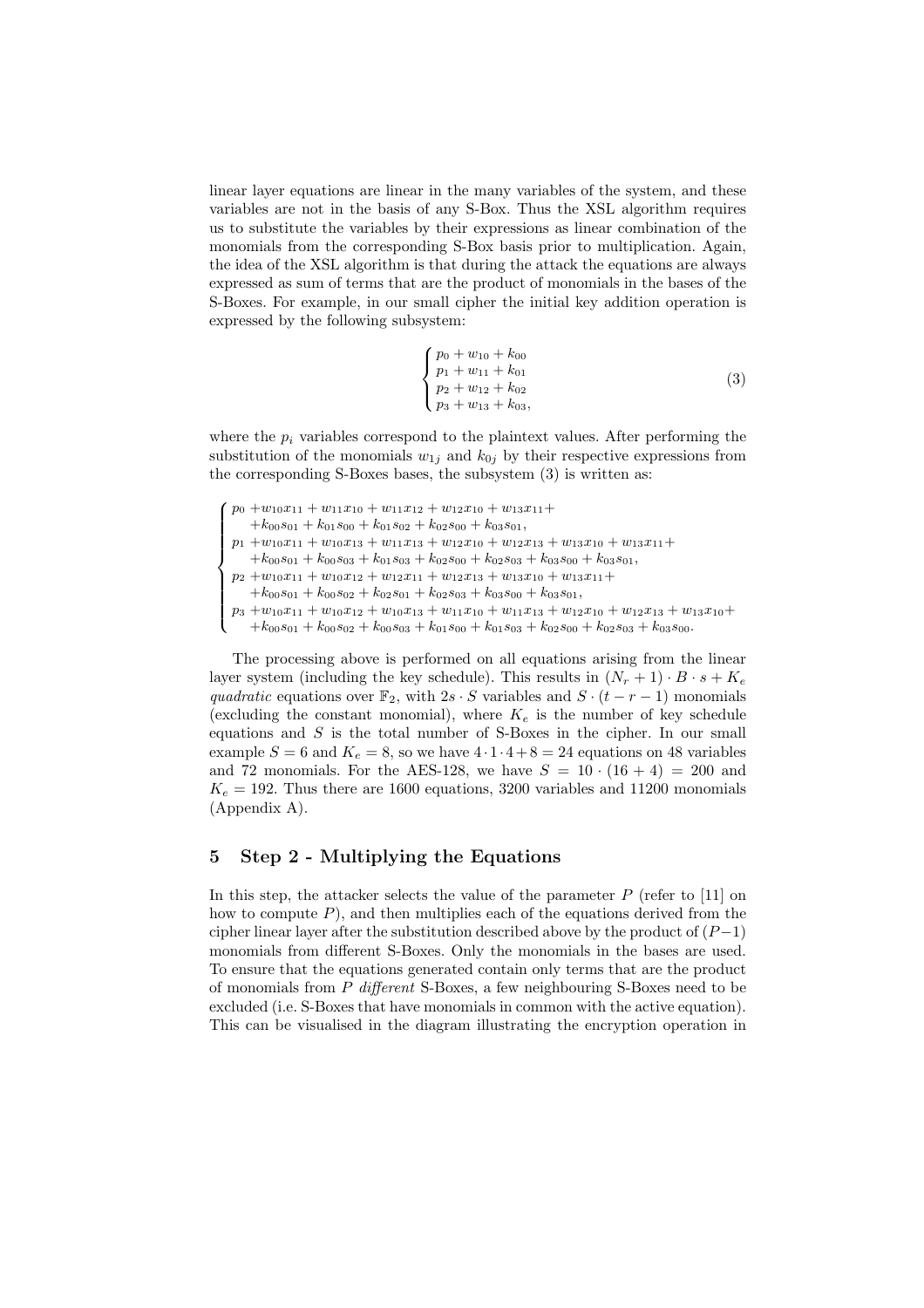linear layer equations are linear in the many variables of the system, and these variables are not in the basis of any S-Box. Thus the XSL algorithm requires us to substitute the variables by their expressions as linear combination of the monomials from the corresponding S-Box basis prior to multiplication. Again, the idea of the XSL algorithm is that during the attack the equations are always expressed as sum of terms that are the product of monomials in the bases of the S-Boxes. For example, in our small cipher the initial key addition operation is expressed by the following subsystem:

$$
\begin{cases}\n p_0 + w_{10} + k_{00} \\
 p_1 + w_{11} + k_{01} \\
 p_2 + w_{12} + k_{02} \\
 p_3 + w_{13} + k_{03},\n\end{cases}
$$
\n(3)

where the  $p_i$  variables correspond to the plaintext values. After performing the substitution of the monomials  $w_{1i}$  and  $k_{0i}$  by their respective expressions from the corresponding S-Boxes bases, the subsystem (3) is written as:

```
\overline{a}\Bigg\{\begin{cases} p_2 + w_{10}x_{11} + w_{10}x_{12} + w_{12}x_{11} + w_{12}x_{13} + w_{13}x_{10} + w_{13}x_{11} + \ + k_{00}s_{01} + k_{00}s_{02} + k_{02}s_{01} + k_{02}s_{03} + k_{03}s_{00} + k_{03}s_{01}, \ p_3 + w_{10}x_{11} + w_{10}x_{12} + w_{10}x_{13} + w_{11}x_{10} + w_{11}x_{13} + w_{12}x_{10} + \end{cases}p_0 + w_{10}x_{11} + w_{11}x_{10} + w_{11}x_{12} + w_{12}x_{10} + w_{13}x_{11} ++ k_{00}s_{01} + k_{01}s_{00} + k_{01}s_{02} + k_{02}s_{00} + k_{03}s_{01}p_1 + w_{10}x_{11} + w_{10}x_{13} + w_{11}x_{13} + w_{12}x_{10} + w_{12}x_{13} + w_{13}x_{10} + w_{13}x_{11} ++k_{00}s_{01} + k_{00}s_{03} + k_{01}s_{03} + k_{02}s_{00} + k_{02}s_{03} + k_{03}s_{00} + k_{03}s_{01}+k_{00}s_{01} + k_{00}s_{02} + k_{02}s_{01} + k_{02}s_{03} + k_{03}s_{00} + k_{03}s_{01}p_3 + w_{10}x_{11} + w_{10}x_{12} + w_{10}x_{13} + w_{11}x_{10} + w_{11}x_{13} + w_{12}x_{10} + w_{12}x_{13} + w_{13}x_{10} ++k_{00}s_{01} + k_{00}s_{02} + k_{00}s_{03} + k_{01}s_{00} + k_{01}s_{03} + k_{02}s_{00} + k_{02}s_{03} + k_{03}s_{00}.
```
The processing above is performed on all equations arising from the linear layer system (including the key schedule). This results in  $(N_r + 1) \cdot B \cdot s + K_e$ quadratic equations over  $\mathbb{F}_2$ , with  $2s \cdot S$  variables and  $S \cdot (t - r - 1)$  monomials (excluding the constant monomial), where  $K_e$  is the number of key schedule equations and  $S$  is the total number of S-Boxes in the cipher. In our small example  $S = 6$  and  $K_e = 8$ , so we have  $4 \cdot 1 \cdot 4 + 8 = 24$  equations on 48 variables and 72 monomials. For the AES-128, we have  $S = 10 \cdot (16 + 4) = 200$  and  $K_e = 192$ . Thus there are 1600 equations, 3200 variables and 11200 monomials (Appendix A).

## 5 Step 2 - Multiplying the Equations

In this step, the attacker selects the value of the parameter  $P$  (refer to [11] on how to compute  $P$ ), and then multiplies each of the equations derived from the cipher linear layer after the substitution described above by the product of  $(P-1)$ monomials from different S-Boxes. Only the monomials in the bases are used. To ensure that the equations generated contain only terms that are the product of monomials from  $P$  different S-Boxes, a few neighbouring S-Boxes need to be excluded (i.e. S-Boxes that have monomials in common with the active equation). This can be visualised in the diagram illustrating the encryption operation in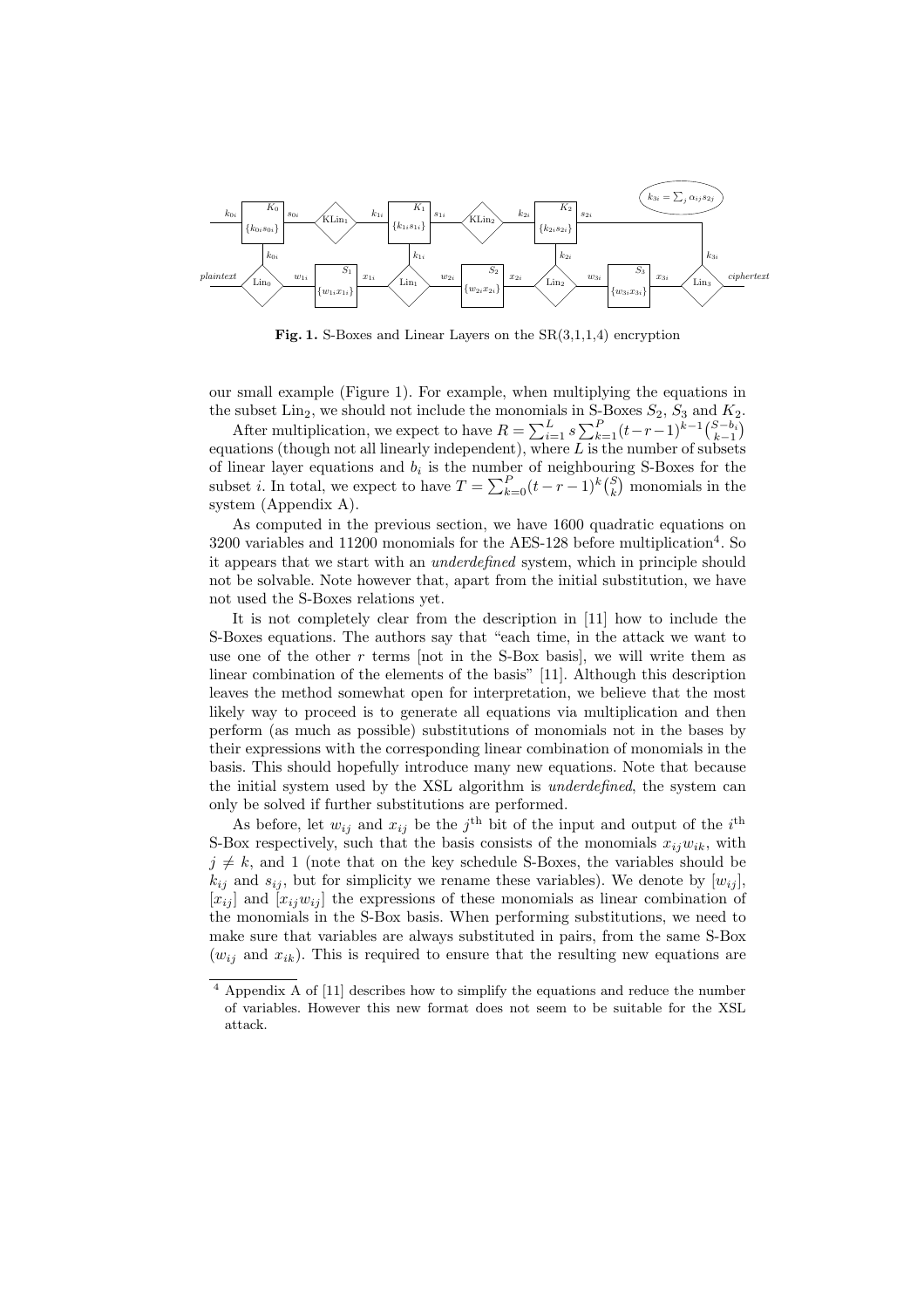

Fig. 1. S-Boxes and Linear Layers on the SR(3,1,1,4) encryption

our small example (Figure 1). For example, when multiplying the equations in the subset  $\text{Lin}_2$ , we should not include the monomials in S-Boxes  $S_2$ ,  $S_3$  and  $K_2$ . ¢

Subset Em<sub>2</sub>, we should not include the monomials in 3-Boxes  $\frac{5}{2}$ ,  $\frac{5}{3}$  and  $\frac{5}{16}$ ,  $\frac{5}{16}$ <br>After multiplication, we expect to have  $R = \sum_{i=1}^{L} s \sum_{k=1}^{P} (t-r-1)^{k-1} \binom{5-k}{k-1}$ equations (though not all linearly independent), where  $L$  is the number of subsets of linear layer equations and  $b_i$  is the number of neighbouring S-Boxes for the or linear layer equations and  $b_i$  is the number of neighbours<br>subset i. In total, we expect to have  $T = \sum_{k=0}^{P} (t - r - 1)^k {S_k \choose k}$  $\frac{1}{\sqrt{2}}$ monomials in the system (Appendix A).

As computed in the previous section, we have 1600 quadratic equations on  $3200$  variables and  $11200$  monomials for the AES-128 before multiplication<sup>4</sup>. So it appears that we start with an underdefined system, which in principle should not be solvable. Note however that, apart from the initial substitution, we have not used the S-Boxes relations yet.

It is not completely clear from the description in [11] how to include the S-Boxes equations. The authors say that "each time, in the attack we want to use one of the other  $r$  terms [not in the S-Box basis], we will write them as linear combination of the elements of the basis" [11]. Although this description leaves the method somewhat open for interpretation, we believe that the most likely way to proceed is to generate all equations via multiplication and then perform (as much as possible) substitutions of monomials not in the bases by their expressions with the corresponding linear combination of monomials in the basis. This should hopefully introduce many new equations. Note that because the initial system used by the XSL algorithm is underdefined, the system can only be solved if further substitutions are performed.

As before, let  $w_{ij}$  and  $x_{ij}$  be the j<sup>th</sup> bit of the input and output of the i<sup>th</sup> S-Box respectively, such that the basis consists of the monomials  $x_{ij}w_{ik}$ , with  $j \neq k$ , and 1 (note that on the key schedule S-Boxes, the variables should be  $k_{ij}$  and  $s_{ij}$ , but for simplicity we rename these variables). We denote by  $[w_{ij}]$ ,  $[x_{ij}]$  and  $[x_{ij}w_{ij}]$  the expressions of these monomials as linear combination of the monomials in the S-Box basis. When performing substitutions, we need to make sure that variables are always substituted in pairs, from the same S-Box  $(w_{ij}$  and  $x_{ik})$ . This is required to ensure that the resulting new equations are

<sup>4</sup> Appendix A of [11] describes how to simplify the equations and reduce the number of variables. However this new format does not seem to be suitable for the XSL attack.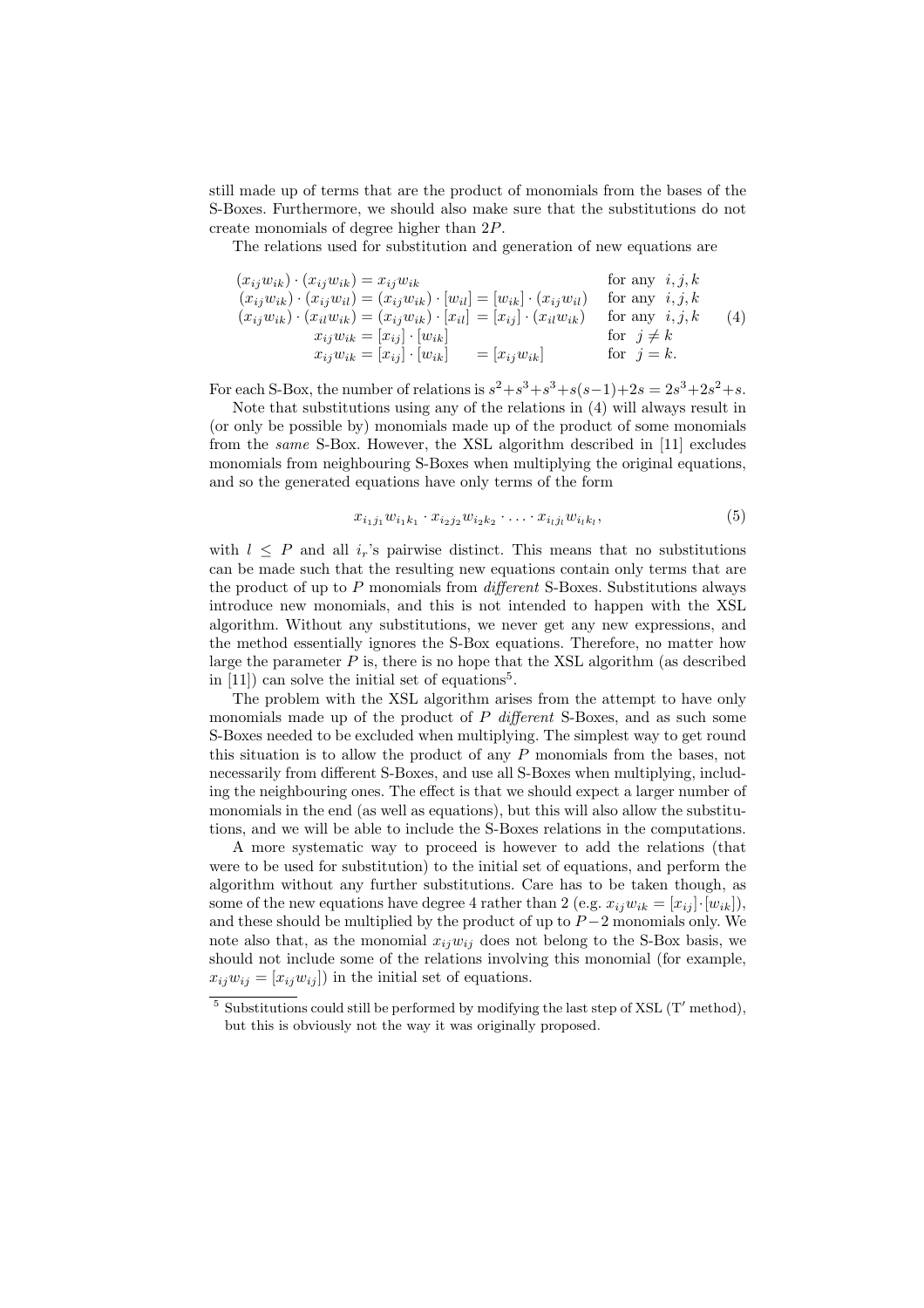still made up of terms that are the product of monomials from the bases of the S-Boxes. Furthermore, we should also make sure that the substitutions do not create monomials of degree higher than 2P.

The relations used for substitution and generation of new equations are

$$
(x_{ij}w_{ik}) \cdot (x_{ij}w_{ik}) = x_{ij}w_{ik}
$$
 for any  $i, j, k$   
\n
$$
(x_{ij}w_{ik}) \cdot (x_{ij}w_{il}) = (x_{ij}w_{ik}) \cdot [w_{il}] = [w_{ik}] \cdot (x_{ij}w_{il})
$$
 for any  $i, j, k$   
\n
$$
(x_{ij}w_{ik}) \cdot (x_{il}w_{ik}) = (x_{ij}w_{ik}) \cdot [x_{il}] = [x_{ij}] \cdot (x_{il}w_{ik})
$$
 for any  $i, j, k$   
\n
$$
x_{ij}w_{ik} = [x_{ij}] \cdot [w_{ik}]
$$
 for  $j \neq k$   
\n
$$
x_{ij}w_{ik} = [x_{ij}] \cdot [w_{ik}] = [x_{ij}w_{ik}]
$$
 for  $j = k$ .

For each S-Box, the number of relations is  $s^2 + s^3 + s^3 + s(s-1) + 2s = 2s^3 + 2s^2 + s$ .

Note that substitutions using any of the relations in (4) will always result in (or only be possible by) monomials made up of the product of some monomials from the same S-Box. However, the XSL algorithm described in [11] excludes monomials from neighbouring S-Boxes when multiplying the original equations, and so the generated equations have only terms of the form

$$
x_{i_1j_1}w_{i_1k_1} \cdot x_{i_2j_2}w_{i_2k_2} \cdot \ldots \cdot x_{i_lj_l}w_{i_lk_l}, \qquad (5)
$$

with  $l \leq P$  and all  $i_r$ 's pairwise distinct. This means that no substitutions can be made such that the resulting new equations contain only terms that are the product of up to  $P$  monomials from *different* S-Boxes. Substitutions always introduce new monomials, and this is not intended to happen with the XSL algorithm. Without any substitutions, we never get any new expressions, and the method essentially ignores the S-Box equations. Therefore, no matter how large the parameter  $P$  is, there is no hope that the XSL algorithm (as described in  $[11]$  can solve the initial set of equations<sup>5</sup>.

The problem with the XSL algorithm arises from the attempt to have only monomials made up of the product of  $P$  different S-Boxes, and as such some S-Boxes needed to be excluded when multiplying. The simplest way to get round this situation is to allow the product of any  $P$  monomials from the bases, not necessarily from different S-Boxes, and use all S-Boxes when multiplying, including the neighbouring ones. The effect is that we should expect a larger number of monomials in the end (as well as equations), but this will also allow the substitutions, and we will be able to include the S-Boxes relations in the computations.

A more systematic way to proceed is however to add the relations (that were to be used for substitution) to the initial set of equations, and perform the algorithm without any further substitutions. Care has to be taken though, as some of the new equations have degree 4 rather than 2 (e.g.  $x_{ij}w_{ik} = [x_{ij}] \cdot [w_{ik}]$ ), and these should be multiplied by the product of up to  $P-2$  monomials only. We note also that, as the monomial  $x_{ij}w_{ij}$  does not belong to the S-Box basis, we should not include some of the relations involving this monomial (for example,  $x_{ij}w_{ij} = [x_{ij}w_{ij}]$  in the initial set of equations.

 $5$  Substitutions could still be performed by modifying the last step of XSL (T' method), but this is obviously not the way it was originally proposed.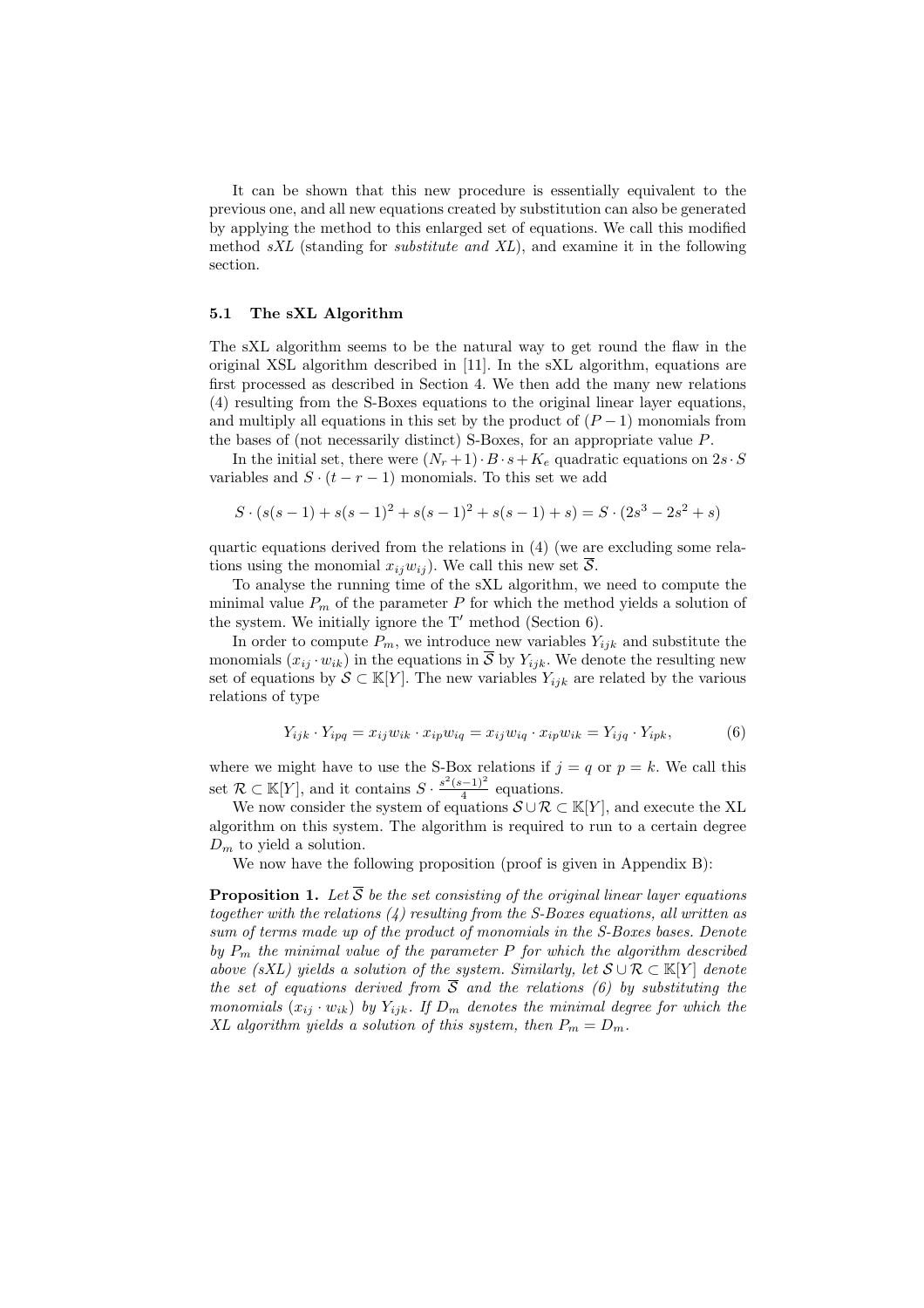It can be shown that this new procedure is essentially equivalent to the previous one, and all new equations created by substitution can also be generated by applying the method to this enlarged set of equations. We call this modified method  $sXL$  (standing for *substitute and XL*), and examine it in the following section.

### 5.1 The sXL Algorithm

The sXL algorithm seems to be the natural way to get round the flaw in the original XSL algorithm described in [11]. In the sXL algorithm, equations are first processed as described in Section 4. We then add the many new relations (4) resulting from the S-Boxes equations to the original linear layer equations, and multiply all equations in this set by the product of  $(P-1)$  monomials from the bases of (not necessarily distinct) S-Boxes, for an appropriate value P.

In the initial set, there were  $(N_r + 1) \cdot B \cdot s + K_e$  quadratic equations on  $2s \cdot S$ variables and  $S \cdot (t - r - 1)$  monomials. To this set we add

$$
S \cdot (s(s-1) + s(s-1)^2 + s(s-1)^2 + s(s-1) + s) = S \cdot (2s^3 - 2s^2 + s)
$$

quartic equations derived from the relations in (4) (we are excluding some relations using the monomial  $x_{ij}w_{ij}$ ). We call this new set  $\overline{S}$ .

To analyse the running time of the sXL algorithm, we need to compute the minimal value  $P_m$  of the parameter P for which the method yields a solution of the system. We initially ignore the  $T'$  method (Section 6).

In order to compute  $P_m$ , we introduce new variables  $Y_{ijk}$  and substitute the monomials  $(x_{ij} \cdot w_{ik})$  in the equations in  $\overline{S}$  by  $Y_{ijk}$ . We denote the resulting new set of equations by  $\mathcal{S} \subset \mathbb{K}[Y]$ . The new variables  $Y_{ijk}$  are related by the various relations of type

$$
Y_{ijk} \cdot Y_{ipq} = x_{ij} w_{ik} \cdot x_{ip} w_{iq} = x_{ij} w_{iq} \cdot x_{ip} w_{ik} = Y_{ijq} \cdot Y_{ipk}, \tag{6}
$$

where we might have to use the S-Box relations if  $j = q$  or  $p = k$ . We call this set  $\mathcal{R} \subset \mathbb{K}[Y]$ , and it contains  $S \cdot \frac{s^2(s-1)^2}{4}$  $\frac{(-1)^{2}}{4}$  equations.

We now consider the system of equations  $\mathcal{S} \cup \mathcal{R} \subset \mathbb{K}[Y]$ , and execute the XL algorithm on this system. The algorithm is required to run to a certain degree  $D_m$  to yield a solution.

We now have the following proposition (proof is given in Appendix B):

**Proposition 1.** Let  $\overline{S}$  be the set consisting of the original linear layer equations together with the relations (4) resulting from the S-Boxes equations, all written as sum of terms made up of the product of monomials in the S-Boxes bases. Denote by  $P_m$  the minimal value of the parameter P for which the algorithm described above (sXL) yields a solution of the system. Similarly, let  $S \cup \mathcal{R} \subset \mathbb{K}[Y]$  denote the set of equations derived from  $\overline{S}$  and the relations (6) by substituting the monomials  $(x_{ij} \cdot w_{ik})$  by  $Y_{ijk}$ . If  $D_m$  denotes the minimal degree for which the XL algorithm yields a solution of this system, then  $P_m = D_m$ .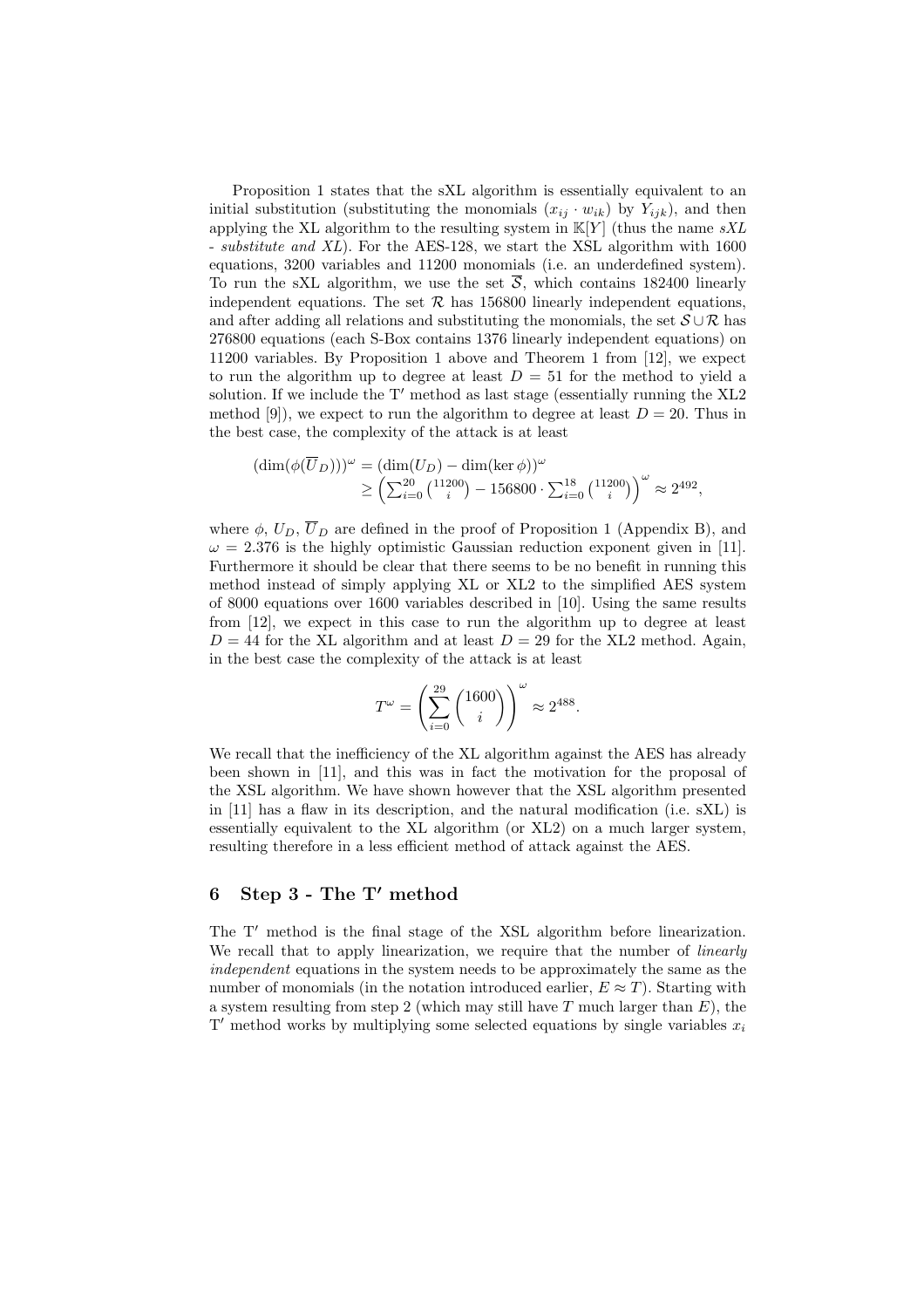Proposition 1 states that the sXL algorithm is essentially equivalent to an initial substitution (substituting the monomials  $(x_{ij} \cdot w_{ik})$  by  $Y_{ijk}$ ), and then applying the XL algorithm to the resulting system in  $\mathbb{K}[Y]$  (thus the name sXL - *substitute and XL*). For the AES-128, we start the XSL algorithm with 1600 equations, 3200 variables and 11200 monomials (i.e. an underdefined system). To run the sXL algorithm, we use the set  $\overline{S}$ , which contains 182400 linearly independent equations. The set  $R$  has 156800 linearly independent equations, and after adding all relations and substituting the monomials, the set  $\mathcal{S} \cup \mathcal{R}$  has 276800 equations (each S-Box contains 1376 linearly independent equations) on 11200 variables. By Proposition 1 above and Theorem 1 from [12], we expect to run the algorithm up to degree at least  $D = 51$  for the method to yield a solution. If we include the  $T<sup>'</sup>$  method as last stage (essentially running the XL2 method [9]), we expect to run the algorithm to degree at least  $D = 20$ . Thus in the best case, the complexity of the attack is at least

$$
(\dim(\phi(\overline{U}_D)))^{\omega} = (\dim(U_D) - \dim(\ker \phi))^{\omega}
$$
  
 
$$
\geq \left(\sum_{i=0}^{20} {1200 \choose i} - 156800 \cdot \sum_{i=0}^{18} {1200 \choose i} \right)^{\omega} \approx 2^{492},
$$

where  $\phi$ ,  $U_D$ ,  $\overline{U}_D$  are defined in the proof of Proposition 1 (Appendix B), and  $\omega = 2.376$  is the highly optimistic Gaussian reduction exponent given in [11]. Furthermore it should be clear that there seems to be no benefit in running this method instead of simply applying XL or XL2 to the simplified AES system of 8000 equations over 1600 variables described in [10]. Using the same results from [12], we expect in this case to run the algorithm up to degree at least  $D = 44$  for the XL algorithm and at least  $D = 29$  for the XL2 method. Again, in the best case the complexity of the attack is at least

$$
T^{\omega} = \left(\sum_{i=0}^{29} {1600 \choose i}\right)^{\omega} \approx 2^{488}.
$$

We recall that the inefficiency of the XL algorithm against the AES has already been shown in [11], and this was in fact the motivation for the proposal of the XSL algorithm. We have shown however that the XSL algorithm presented in [11] has a flaw in its description, and the natural modification (i.e. sXL) is essentially equivalent to the XL algorithm (or XL2) on a much larger system, resulting therefore in a less efficient method of attack against the AES.

## 6 Step  $3$  - The T' method

The T' method is the final stage of the XSL algorithm before linearization. We recall that to apply linearization, we require that the number of *linearly* independent equations in the system needs to be approximately the same as the number of monomials (in the notation introduced earlier,  $E \approx T$ ). Starting with a system resulting from step 2 (which may still have T much larger than  $E$ ), the  $T'$  method works by multiplying some selected equations by single variables  $x_i$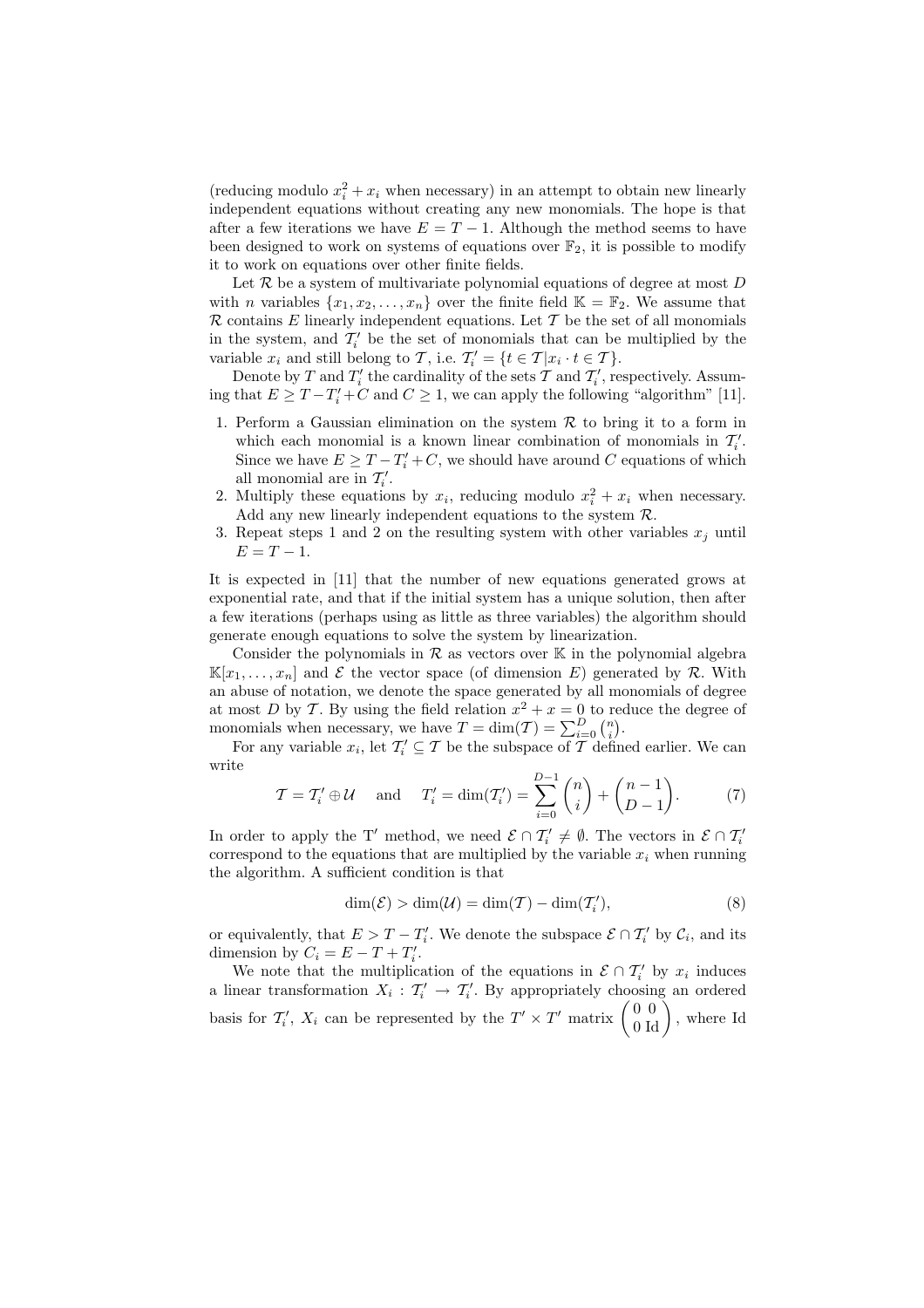(reducing modulo  $x_i^2 + x_i$  when necessary) in an attempt to obtain new linearly independent equations without creating any new monomials. The hope is that after a few iterations we have  $E = T - 1$ . Although the method seems to have been designed to work on systems of equations over  $\mathbb{F}_2$ , it is possible to modify it to work on equations over other finite fields.

Let  $R$  be a system of multivariate polynomial equations of degree at most  $D$ with *n* variables  $\{x_1, x_2, \ldots, x_n\}$  over the finite field  $\mathbb{K} = \mathbb{F}_2$ . We assume that  $\mathcal R$  contains E linearly independent equations. Let  $\mathcal T$  be the set of all monomials in the system, and  $\mathcal{T}'_i$  be the set of monomials that can be multiplied by the variable  $x_i$  and still belong to T, i.e.  $\mathcal{T}'_i = \{t \in \mathcal{T} | x_i \cdot t \in \mathcal{T} \}.$ 

Denote by T and  $T_i'$  the cardinality of the sets T and  $T_i'$ , respectively. Assuming that  $E \geq T - T'_i + C$  and  $C \geq 1$ , we can apply the following "algorithm" [11].

- 1. Perform a Gaussian elimination on the system  $\mathcal R$  to bring it to a form in which each monomial is a known linear combination of monomials in  $\mathcal{T}'_i$ . Since we have  $E \geq T - T'_i + C$ , we should have around C equations of which all monomial are in  $\mathcal{T}'_i$ .
- 2. Multiply these equations by  $x_i$ , reducing modulo  $x_i^2 + x_i$  when necessary. Add any new linearly independent equations to the system  $\mathcal{R}$ .
- 3. Repeat steps 1 and 2 on the resulting system with other variables  $x_i$  until  $E = T - 1.$

It is expected in [11] that the number of new equations generated grows at exponential rate, and that if the initial system has a unique solution, then after a few iterations (perhaps using as little as three variables) the algorithm should generate enough equations to solve the system by linearization.

Consider the polynomials in  $\mathcal R$  as vectors over  $\mathbb K$  in the polynomial algebra  $\mathbb{K}[x_1,\ldots,x_n]$  and  $\mathcal E$  the vector space (of dimension E) generated by R. With an abuse of notation, we denote the space generated by all monomials of degree at most D by T. By using the field relation  $x^2 + x = 0$  to reduce the degree of monomials when necessary, we have  $T = \dim(T) = \sum_{i=1}^{D}$  $\sum_{i=0}^{D} \binom{n}{i}.$ 

For any variable  $x_i$ , let  $\mathcal{T}'_i \subseteq \mathcal{T}$  be the subspace of  $\mathcal{T}$  defined earlier. We can write  $\overline{a}$  $\mathbf{r}$  $\overline{a}$  $\mathbf{r}$ 

$$
\mathcal{T} = \mathcal{T}'_i \oplus \mathcal{U} \quad \text{and} \quad T'_i = \dim(\mathcal{T}'_i) = \sum_{i=0}^{D-1} \binom{n}{i} + \binom{n-1}{D-1}.
$$
 (7)

In order to apply the T' method, we need  $\mathcal{E} \cap \mathcal{T}'_i \neq \emptyset$ . The vectors in  $\mathcal{E} \cap \mathcal{T}'_i$ correspond to the equations that are multiplied by the variable  $x_i$  when running the algorithm. A sufficient condition is that

$$
\dim(\mathcal{E}) > \dim(\mathcal{U}) = \dim(\mathcal{T}) - \dim(\mathcal{T}'_i),\tag{8}
$$

or equivalently, that  $E > T - T_i'$ . We denote the subspace  $\mathcal{E} \cap T_i'$  by  $\mathcal{C}_i$ , and its dimension by  $C_i = E - T + T'_i$ .

We note that the multiplication of the equations in  $\mathcal{E} \cap \mathcal{T}'_i$  by  $x_i$  induces a linear transformation  $X_i : T'_i \to T'_i$ . By appropriately choosing an ordered a linear transformation  $X_i : I_i \to I_i$ . By appropriately choosing an ordered<br>basis for  $T'_i$ ,  $X_i$  can be represented by the  $T' \times T'$  matrix  $\begin{pmatrix} 0 & 0 \\ 0 & \text{Id} \end{pmatrix}$ , where Id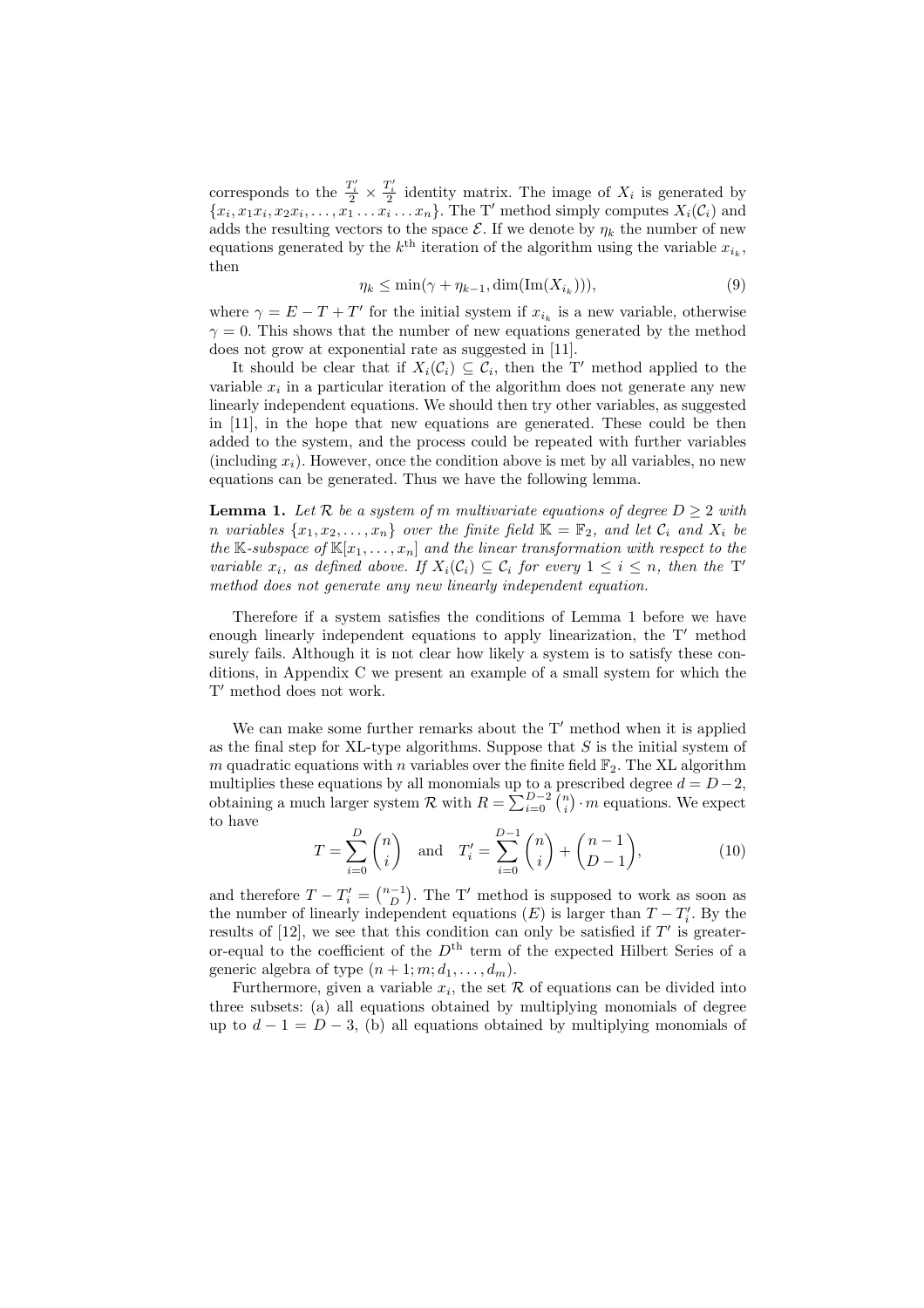corresponds to the  $\frac{T_i'}{2} \times \frac{T_i'}{2}$  identity matrix. The image of  $X_i$  is generated by  $\{x_i, x_1x_i, x_2x_i, \ldots, x_1 \ldots x_i \ldots x_n\}$ . The T' method simply computes  $X_i(\mathcal{C}_i)$  and adds the resulting vectors to the space  $\mathcal{E}$ . If we denote by  $\eta_k$  the number of new equations generated by the  $k^{\text{th}}$  iteration of the algorithm using the variable  $x_{i_k}$ , then

$$
\eta_k \le \min(\gamma + \eta_{k-1}, \dim(\text{Im}(X_{i_k}))),\tag{9}
$$

where  $\gamma = E - T + T'$  for the initial system if  $x_{i_k}$  is a new variable, otherwise  $\gamma = 0$ . This shows that the number of new equations generated by the method does not grow at exponential rate as suggested in [11].

It should be clear that if  $X_i(\mathcal{C}_i) \subseteq \mathcal{C}_i$ , then the T' method applied to the variable  $x_i$  in a particular iteration of the algorithm does not generate any new linearly independent equations. We should then try other variables, as suggested in [11], in the hope that new equations are generated. These could be then added to the system, and the process could be repeated with further variables (including  $x_i$ ). However, once the condition above is met by all variables, no new equations can be generated. Thus we have the following lemma.

**Lemma 1.** Let R be a system of m multivariate equations of degree  $D \geq 2$  with n variables  $\{x_1, x_2, \ldots, x_n\}$  over the finite field  $\mathbb{K} = \mathbb{F}_2$ , and let  $\mathcal{C}_i$  and  $X_i$  be the  $\mathbb{K}$ -subspace of  $\mathbb{K}[x_1,\ldots,x_n]$  and the linear transformation with respect to the variable  $x_i$ , as defined above. If  $X_i(\mathcal{C}_i) \subseteq \mathcal{C}_i$  for every  $1 \leq i \leq n$ , then the T' method does not generate any new linearly independent equation.

Therefore if a system satisfies the conditions of Lemma 1 before we have enough linearly independent equations to apply linearization, the  $T'$  method surely fails. Although it is not clear how likely a system is to satisfy these conditions, in Appendix C we present an example of a small system for which the T' method does not work.

We can make some further remarks about the  $T<sup>'</sup>$  method when it is applied as the final step for XL-type algorithms. Suppose that  $S$  is the initial system of m quadratic equations with n variables over the finite field  $\mathbb{F}_2$ . The XL algorithm multiplies these equations by all monomials up to a prescribed degree  $d = D - 2$ , multiplies these equations by all monomials up to a probability of the system  $\mathcal R$  with  $R = \sum_{i=0}^{D-2} \binom{n}{i}$ ¢  $\cdot$ *m* equations. We expect to have

$$
T = \sum_{i=0}^{D} \binom{n}{i} \text{ and } T'_i = \sum_{i=0}^{D-1} \binom{n}{i} + \binom{n-1}{D-1}, \tag{10}
$$

and therefore  $T - T'_i = \binom{n-1}{D}$ ). The  $T'$  method is supposed to work as soon as the number of linearly independent equations  $(E)$  is larger than  $T - T_i'$ . By the results of  $[12]$ , we see that this condition can only be satisfied if  $T'$  is greateror-equal to the coefficient of the  $D<sup>th</sup>$  term of the expected Hilbert Series of a generic algebra of type  $(n + 1; m; d_1, \ldots, d_m)$ .

Furthermore, given a variable  $x_i$ , the set  $R$  of equations can be divided into three subsets: (a) all equations obtained by multiplying monomials of degree up to  $d-1 = D-3$ , (b) all equations obtained by multiplying monomials of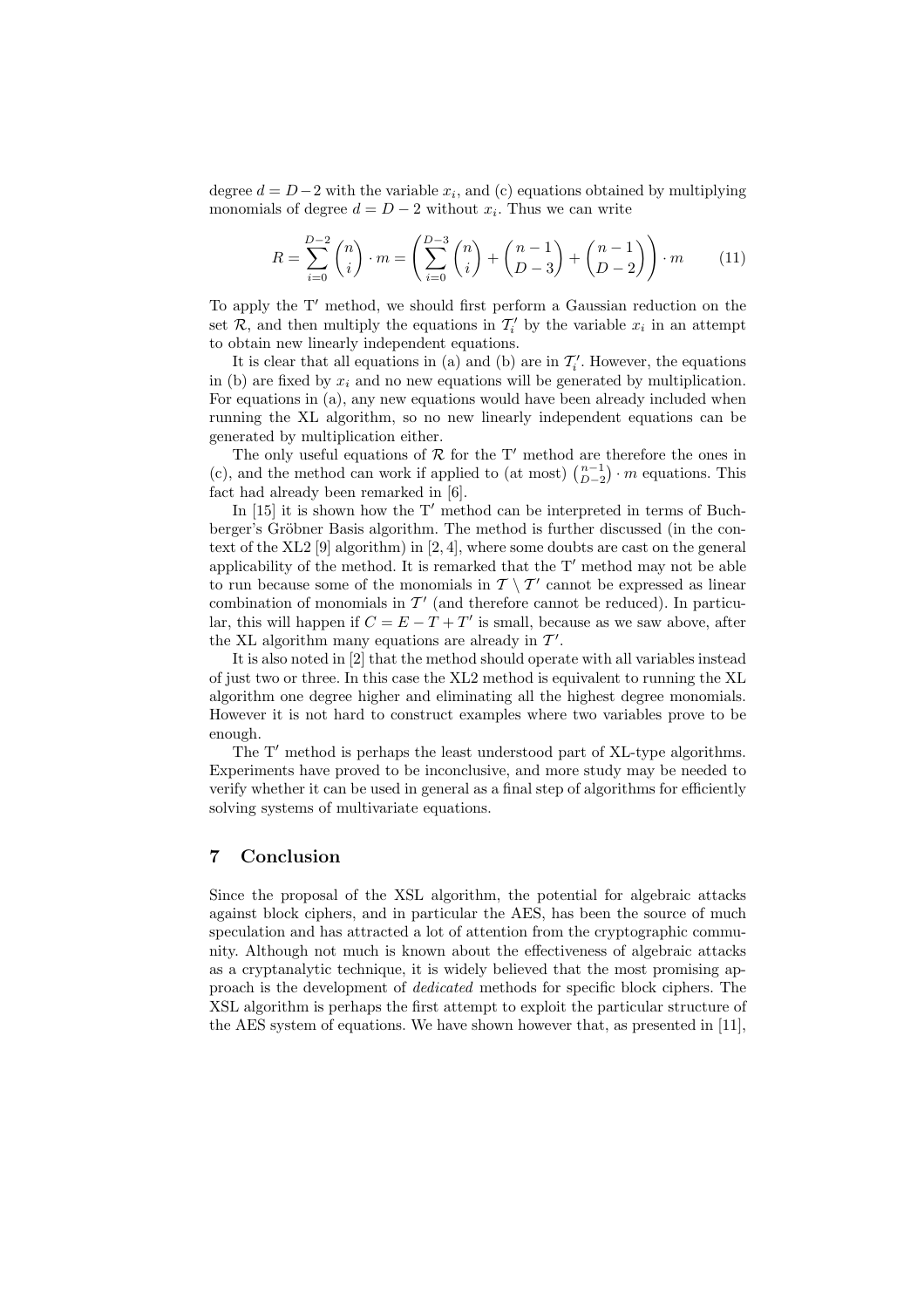degree  $d = D-2$  with the variable  $x_i$ , and (c) equations obtained by multiplying monomials of degree  $d = D - 2$  without  $x_i$ . Thus we can write

$$
R = \sum_{i=0}^{D-2} {n \choose i} \cdot m = \left(\sum_{i=0}^{D-3} {n \choose i} + {n-1 \choose D-3} + {n-1 \choose D-2}\right) \cdot m \tag{11}
$$

To apply the T' method, we should first perform a Gaussian reduction on the set  $\mathcal{R}$ , and then multiply the equations in  $\mathcal{T}'_i$  by the variable  $x_i$  in an attempt to obtain new linearly independent equations.

It is clear that all equations in (a) and (b) are in  $\mathcal{T}'_i$ . However, the equations in (b) are fixed by  $x_i$  and no new equations will be generated by multiplication. For equations in (a), any new equations would have been already included when running the XL algorithm, so no new linearly independent equations can be generated by multiplication either.

The only useful equations of  $R$  for the  $T'$  method are therefore the ones in The only useful equations of  $\kappa$  for the T method are therefore the ones in (c), and the method can work if applied to (at most)  $\binom{n-1}{D-2} \cdot m$  equations. This fact had already been remarked in [6].

In  $[15]$  it is shown how the T' method can be interpreted in terms of Buchberger's Gröbner Basis algorithm. The method is further discussed (in the context of the XL2 [9] algorithm) in [2, 4], where some doubts are cast on the general applicability of the method. It is remarked that the  $T'$  method may not be able to run because some of the monomials in  $\mathcal{T} \setminus \mathcal{T}'$  cannot be expressed as linear combination of monomials in  $\mathcal{T}'$  (and therefore cannot be reduced). In particular, this will happen if  $C = E - T + T'$  is small, because as we saw above, after the XL algorithm many equations are already in  $\mathcal{T}'$ .

It is also noted in [2] that the method should operate with all variables instead of just two or three. In this case the XL2 method is equivalent to running the XL algorithm one degree higher and eliminating all the highest degree monomials. However it is not hard to construct examples where two variables prove to be enough.

The T' method is perhaps the least understood part of XL-type algorithms. Experiments have proved to be inconclusive, and more study may be needed to verify whether it can be used in general as a final step of algorithms for efficiently solving systems of multivariate equations.

## 7 Conclusion

Since the proposal of the XSL algorithm, the potential for algebraic attacks against block ciphers, and in particular the AES, has been the source of much speculation and has attracted a lot of attention from the cryptographic community. Although not much is known about the effectiveness of algebraic attacks as a cryptanalytic technique, it is widely believed that the most promising approach is the development of dedicated methods for specific block ciphers. The XSL algorithm is perhaps the first attempt to exploit the particular structure of the AES system of equations. We have shown however that, as presented in [11],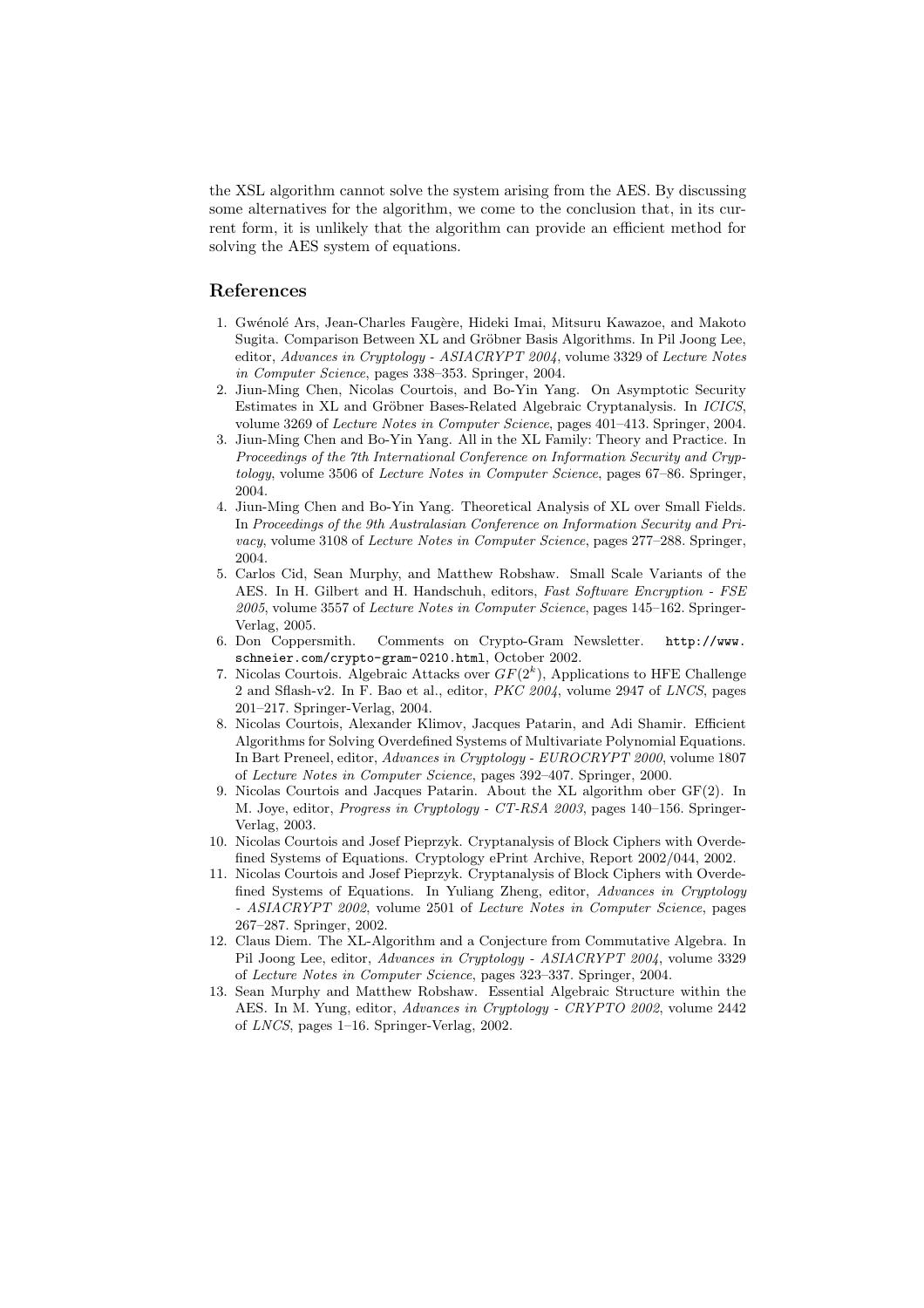the XSL algorithm cannot solve the system arising from the AES. By discussing some alternatives for the algorithm, we come to the conclusion that, in its current form, it is unlikely that the algorithm can provide an efficient method for solving the AES system of equations.

#### References

- 1. Gw´enol´e Ars, Jean-Charles Faug`ere, Hideki Imai, Mitsuru Kawazoe, and Makoto Sugita. Comparison Between XL and Gröbner Basis Algorithms. In Pil Joong Lee, editor, Advances in Cryptology - ASIACRYPT 2004, volume 3329 of Lecture Notes in Computer Science, pages 338–353. Springer, 2004.
- 2. Jiun-Ming Chen, Nicolas Courtois, and Bo-Yin Yang. On Asymptotic Security Estimates in XL and Gröbner Bases-Related Algebraic Cryptanalysis. In ICICS, volume 3269 of Lecture Notes in Computer Science, pages 401–413. Springer, 2004.
- 3. Jiun-Ming Chen and Bo-Yin Yang. All in the XL Family: Theory and Practice. In Proceedings of the 7th International Conference on Information Security and Cryptology, volume 3506 of Lecture Notes in Computer Science, pages 67–86. Springer, 2004.
- 4. Jiun-Ming Chen and Bo-Yin Yang. Theoretical Analysis of XL over Small Fields. In Proceedings of the 9th Australasian Conference on Information Security and Privacy, volume 3108 of Lecture Notes in Computer Science, pages 277–288. Springer, 2004.
- 5. Carlos Cid, Sean Murphy, and Matthew Robshaw. Small Scale Variants of the AES. In H. Gilbert and H. Handschuh, editors, Fast Software Encryption - FSE 2005, volume 3557 of Lecture Notes in Computer Science, pages 145–162. Springer-Verlag, 2005.
- 6. Don Coppersmith. Comments on Crypto-Gram Newsletter. http://www. schneier.com/crypto-gram-0210.html, October 2002.
- 7. Nicolas Courtois. Algebraic Attacks over  $GF(2<sup>k</sup>)$ , Applications to HFE Challenge 2 and Sflash-v2. In F. Bao et al., editor, PKC 2004, volume 2947 of LNCS, pages 201–217. Springer-Verlag, 2004.
- 8. Nicolas Courtois, Alexander Klimov, Jacques Patarin, and Adi Shamir. Efficient Algorithms for Solving Overdefined Systems of Multivariate Polynomial Equations. In Bart Preneel, editor, Advances in Cryptology - EUROCRYPT 2000, volume 1807 of Lecture Notes in Computer Science, pages 392–407. Springer, 2000.
- 9. Nicolas Courtois and Jacques Patarin. About the XL algorithm ober GF(2). In M. Joye, editor, Progress in Cryptology - CT-RSA 2003, pages 140–156. Springer-Verlag, 2003.
- 10. Nicolas Courtois and Josef Pieprzyk. Cryptanalysis of Block Ciphers with Overdefined Systems of Equations. Cryptology ePrint Archive, Report 2002/044, 2002.
- 11. Nicolas Courtois and Josef Pieprzyk. Cryptanalysis of Block Ciphers with Overdefined Systems of Equations. In Yuliang Zheng, editor, Advances in Cryptology - ASIACRYPT 2002, volume 2501 of Lecture Notes in Computer Science, pages 267–287. Springer, 2002.
- 12. Claus Diem. The XL-Algorithm and a Conjecture from Commutative Algebra. In Pil Joong Lee, editor, Advances in Cryptology - ASIACRYPT 2004, volume 3329 of Lecture Notes in Computer Science, pages 323–337. Springer, 2004.
- 13. Sean Murphy and Matthew Robshaw. Essential Algebraic Structure within the AES. In M. Yung, editor, Advances in Cryptology - CRYPTO 2002, volume 2442 of LNCS, pages 1–16. Springer-Verlag, 2002.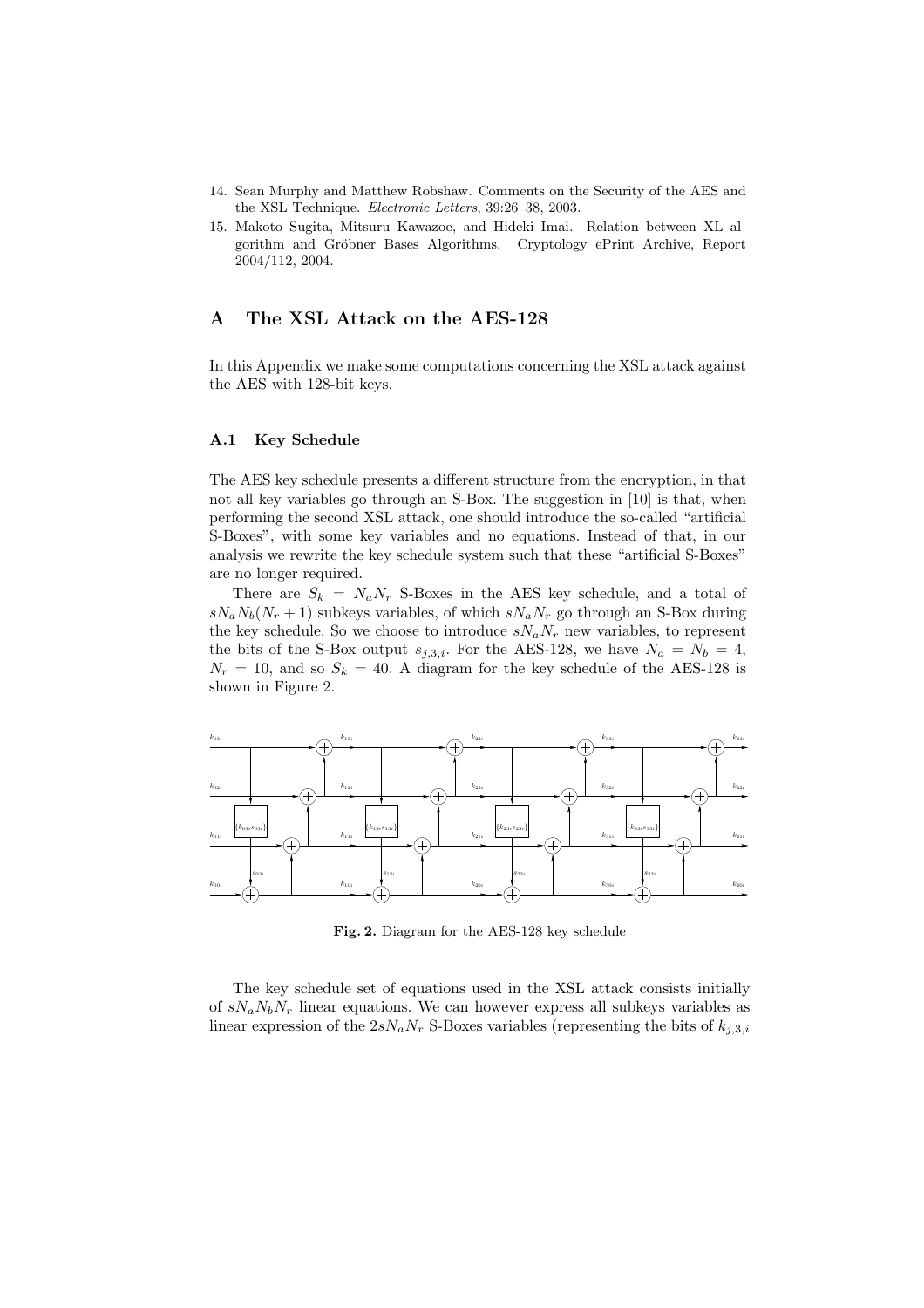- 14. Sean Murphy and Matthew Robshaw. Comments on the Security of the AES and the XSL Technique. Electronic Letters, 39:26–38, 2003.
- 15. Makoto Sugita, Mitsuru Kawazoe, and Hideki Imai. Relation between XL algorithm and Gröbner Bases Algorithms. Cryptology ePrint Archive, Report 2004/112, 2004.

## A The XSL Attack on the AES-128

In this Appendix we make some computations concerning the XSL attack against the AES with 128-bit keys.

#### A.1 Key Schedule

The AES key schedule presents a different structure from the encryption, in that not all key variables go through an S-Box. The suggestion in [10] is that, when performing the second XSL attack, one should introduce the so-called "artificial S-Boxes", with some key variables and no equations. Instead of that, in our analysis we rewrite the key schedule system such that these "artificial S-Boxes" are no longer required.

There are  $S_k = N_a N_r$  S-Boxes in the AES key schedule, and a total of  $sN_aN_b(N_r + 1)$  subkeys variables, of which  $sN_aN_r$  go through an S-Box during the key schedule. So we choose to introduce  $sN_aN_r$  new variables, to represent the bits of the S-Box output  $s_{j,3,i}$ . For the AES-128, we have  $N_a = N_b = 4$ ,  $N_r = 10$ , and so  $S_k = 40$ . A diagram for the key schedule of the AES-128 is shown in Figure 2.



Fig. 2. Diagram for the AES-128 key schedule

The key schedule set of equations used in the XSL attack consists initially of  $sN_aN_bN_r$  linear equations. We can however express all subkeys variables as linear expression of the  $2sN_aN_r$  S-Boxes variables (representing the bits of  $k_{j,3,i}$ )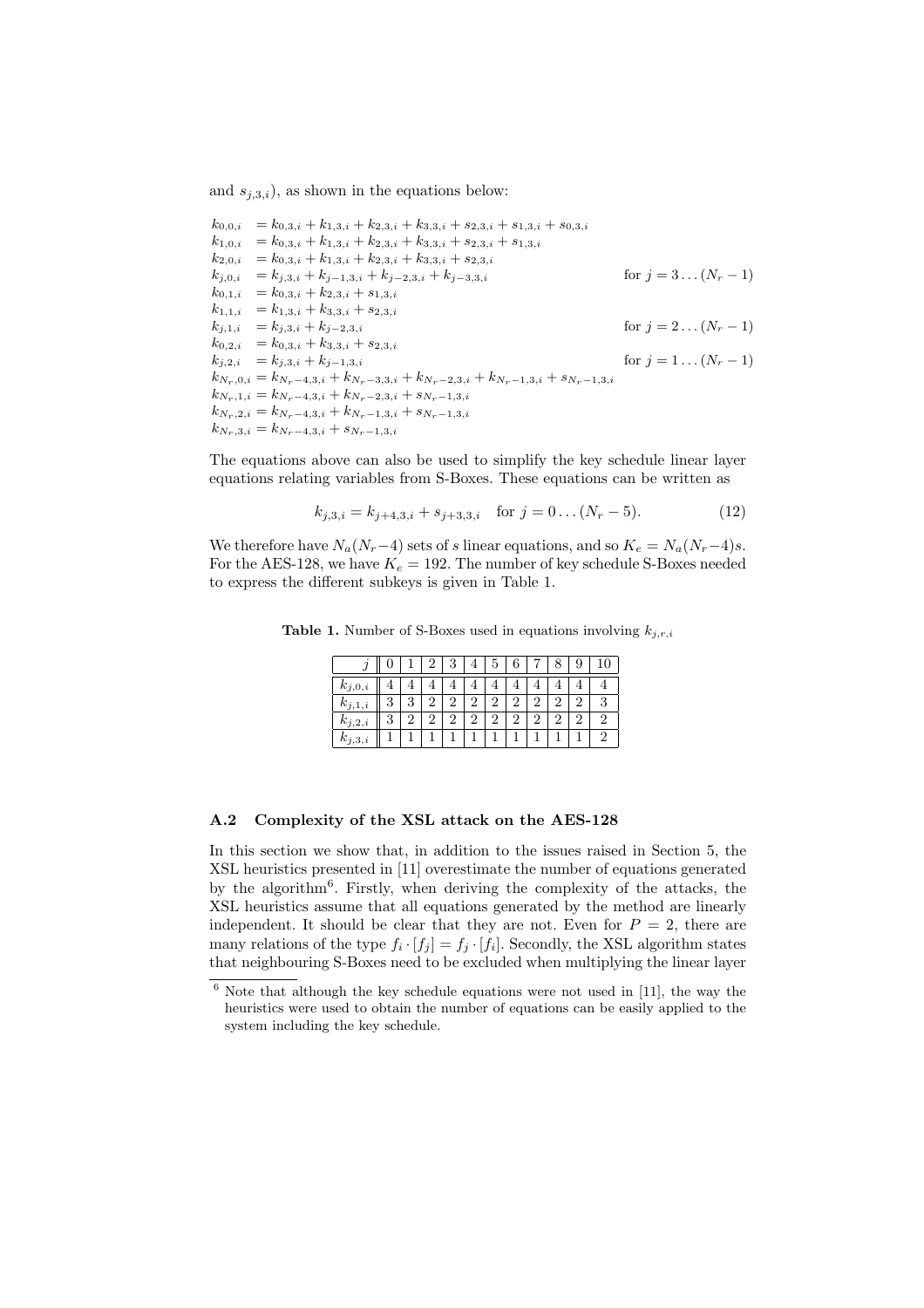and  $s_{i,3,i}$ , as shown in the equations below:

 $k_{0,0,i} = k_{0,3,i} + k_{1,3,i} + k_{2,3,i} + k_{3,3,i} + s_{2,3,i} + s_{1,3,i} + s_{0,3,i}$  $k_{1,0,i} = k_{0,3,i} + k_{1,3,i} + k_{2,3,i} + k_{3,3,i} + s_{2,3,i} + s_{1,3,i}$  $k_{2,0,i} = k_{0,3,i} + k_{1,3,i} + k_{2,3,i} + k_{3,3,i} + s_{2,3,i}$  $k_{j,0,i} = k_{j,3,i} + k_{j-1,3,i} + k_{j-2,3,i} + k_{j-3,3,i}$  for  $j = 3 \dots (N_r - 1)$  $k_{0,1,i} = k_{0,3,i} + k_{2,3,i} + s_{1,3,i}$  $k_{1,1,i} = k_{1,3,i} + k_{3,3,i} + s_{2,3,i}$  $k_{j,1,i} = k_{j,3,i} + k_{j-2,3,i}$  for  $j = 2 \dots (N_r - 1)$  $k_{0,2,i} = k_{0,3,i} + k_{3,3,i} + s_{2,3,i}$  $k_{j,2,i} = k_{j,3,i} + k_{j-1,3,i}$  for  $j = 1 \dots (N_r - 1)$  $k_{N_r,0,i} = k_{N_r-4,3,i} + k_{N_r-3,3,i} + k_{N_r-2,3,i} + k_{N_r-1,3,i} + s_{N_r-1,3,i}$  $k_{N_r,1,i} = k_{N_r-4,3,i} + k_{N_r-2,3,i} + s_{N_r-1,3,i}$  $k_{N_r,2,i} = k_{N_r-4,3,i} + k_{N_r-1,3,i} + s_{N_r-1,3,i}$  $k_{N_r,3,i} = k_{N_r-4,3,i} + s_{N_r-1,3,i}$ 

The equations above can also be used to simplify the key schedule linear layer equations relating variables from S-Boxes. These equations can be written as

$$
k_{j,3,i} = k_{j+4,3,i} + s_{j+3,3,i} \quad \text{for } j = 0 \dots (N_r - 5). \tag{12}
$$

We therefore have  $N_a(N_r-4)$  sets of s linear equations, and so  $K_e = N_a(N_r-4)s$ . For the AES-128, we have  $K_e = 192$ . The number of key schedule S-Boxes needed to express the different subkeys is given in Table 1.

**Table 1.** Number of S-Boxes used in equations involving  $k_{i,r,i}$ 

|                     |   |         |   |   |          | G |  |          |   |  |
|---------------------|---|---------|---|---|----------|---|--|----------|---|--|
| $\kappa_{j,0,i}$    |   |         |   |   |          |   |  |          |   |  |
| $\kappa_{i}$<br>1,i | ິ | ച<br>IJ |   | າ |          |   |  |          |   |  |
| $\kappa_{j,2,i}$    | ິ | റ       | ച |   | $\Omega$ | റ |  | $\Omega$ | റ |  |
| $\kappa_{j,3,i}$    |   |         |   |   |          |   |  |          |   |  |

#### A.2 Complexity of the XSL attack on the AES-128

In this section we show that, in addition to the issues raised in Section 5, the XSL heuristics presented in [11] overestimate the number of equations generated by the algorithm<sup>6</sup> . Firstly, when deriving the complexity of the attacks, the XSL heuristics assume that all equations generated by the method are linearly independent. It should be clear that they are not. Even for  $P = 2$ , there are many relations of the type  $f_i \cdot [f_j] = f_j \cdot [f_i]$ . Secondly, the XSL algorithm states that neighbouring S-Boxes need to be excluded when multiplying the linear layer

 $6$  Note that although the key schedule equations were not used in [11], the way the heuristics were used to obtain the number of equations can be easily applied to the system including the key schedule.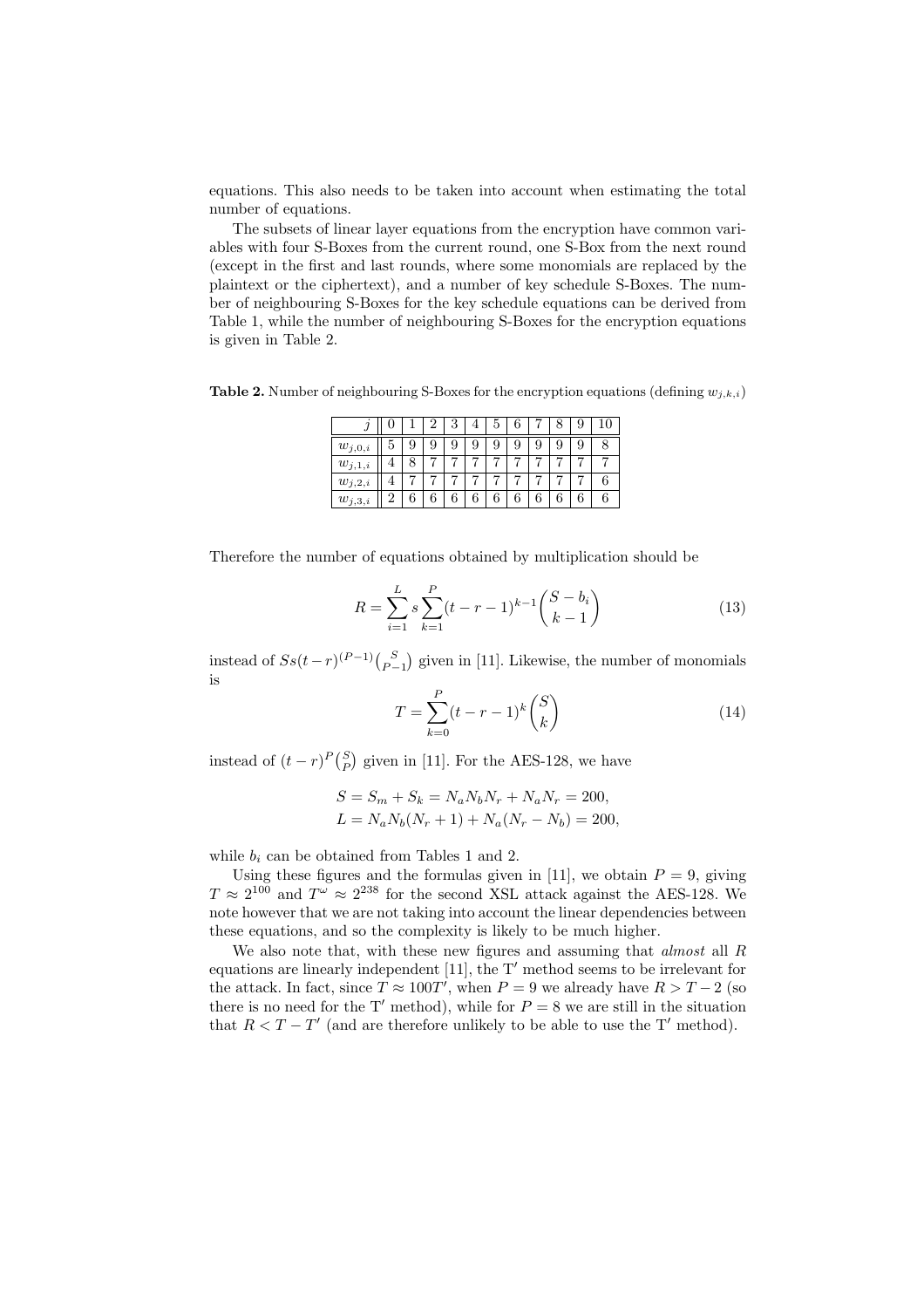equations. This also needs to be taken into account when estimating the total number of equations.

The subsets of linear layer equations from the encryption have common variables with four S-Boxes from the current round, one S-Box from the next round (except in the first and last rounds, where some monomials are replaced by the plaintext or the ciphertext), and a number of key schedule S-Boxes. The number of neighbouring S-Boxes for the key schedule equations can be derived from Table 1, while the number of neighbouring S-Boxes for the encryption equations is given in Table 2.

**Table 2.** Number of neighbouring S-Boxes for the encryption equations (defining  $w_{i,k,i}$ )

|             |   |  | 3 |  |  |  |  |
|-------------|---|--|---|--|--|--|--|
| $w_{j,0,i}$ |   |  | 9 |  |  |  |  |
| $w_{j,1,i}$ |   |  |   |  |  |  |  |
| $w_{j,2,i}$ |   |  |   |  |  |  |  |
| $w_{j,3,i}$ | ິ |  |   |  |  |  |  |

Therefore the number of equations obtained by multiplication should be

$$
R = \sum_{i=1}^{L} s \sum_{k=1}^{P} (t - r - 1)^{k-1} {S - b_i \choose k - 1}
$$
 (13)

instead of  $Ss(t-r)^{(P-1)}\binom{S}{P-1}$ ¢ given in [11]. Likewise, the number of monomials is

$$
T = \sum_{k=0}^{P} (t - r - 1)^k \binom{S}{k}
$$
 (14)

instead of  $(t-r)^P\binom{S}{P}$ ¢ given in [11]. For the AES-128, we have

$$
S = S_m + S_k = N_a N_b N_r + N_a N_r = 200,
$$
  
\n
$$
L = N_a N_b (N_r + 1) + N_a (N_r - N_b) = 200,
$$

while  $b_i$  can be obtained from Tables 1 and 2.

Using these figures and the formulas given in [11], we obtain  $P = 9$ , giving  $T \approx 2^{100}$  and  $T^{\omega} \approx 2^{238}$  for the second XSL attack against the AES-128. We note however that we are not taking into account the linear dependencies between these equations, and so the complexity is likely to be much higher.

We also note that, with these new figures and assuming that *almost* all  $R$ equations are linearly independent  $[11]$ , the  $T'$  method seems to be irrelevant for the attack. In fact, since  $T \approx 100T'$ , when  $P = 9$  we already have  $R > T - 2$  (so there is no need for the T' method), while for  $P = 8$  we are still in the situation that  $R < T - T'$  (and are therefore unlikely to be able to use the T' method).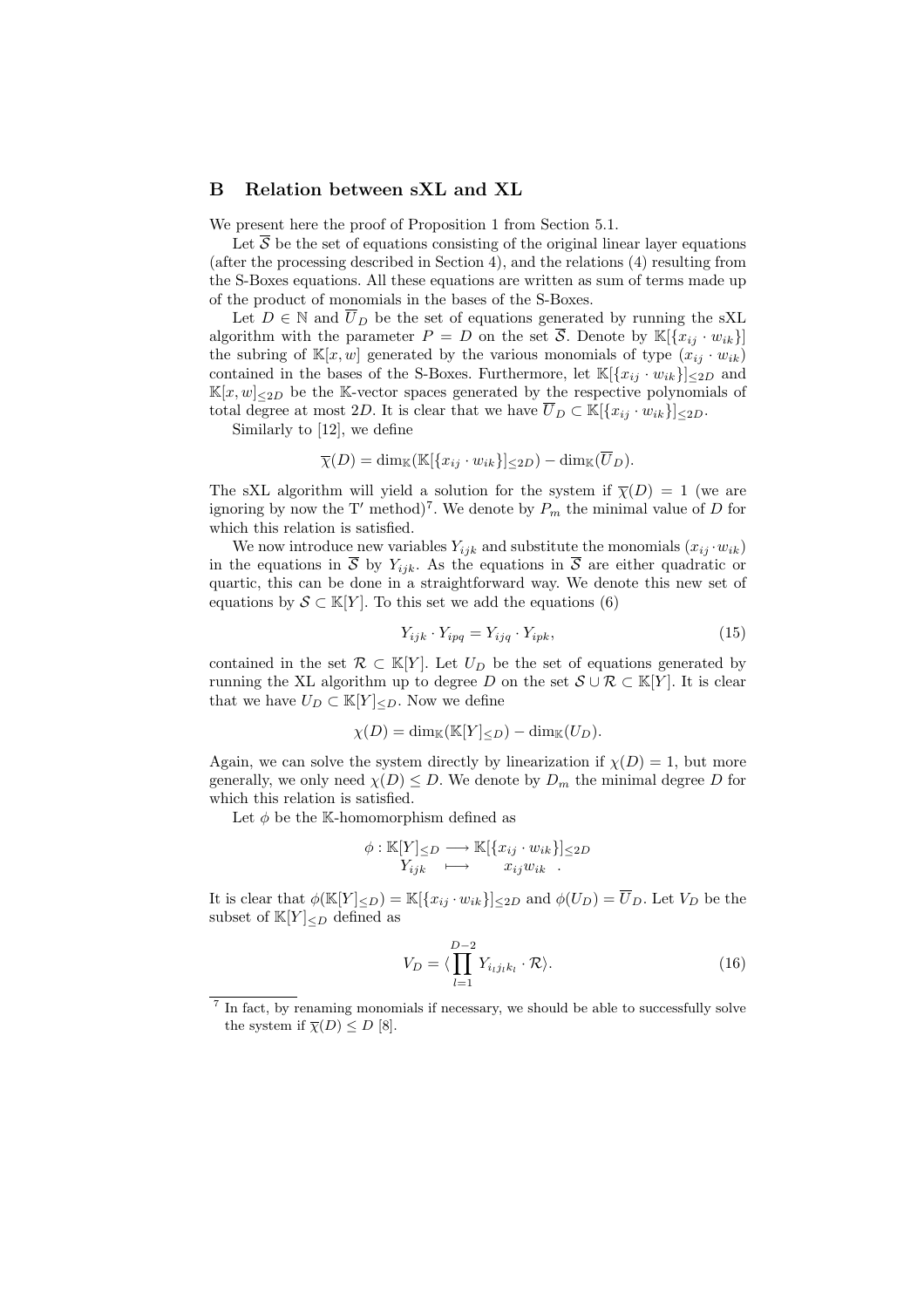### B Relation between sXL and XL

We present here the proof of Proposition 1 from Section 5.1.

Let  $\overline{S}$  be the set of equations consisting of the original linear layer equations (after the processing described in Section 4), and the relations (4) resulting from the S-Boxes equations. All these equations are written as sum of terms made up of the product of monomials in the bases of the S-Boxes.

Let  $D \in \mathbb{N}$  and  $\overline{U}_D$  be the set of equations generated by running the sXL algorithm with the parameter  $P = D$  on the set  $\overline{S}$ . Denote by  $\mathbb{K}[\{x_{ij} \cdot w_{ik}\}]$ the subring of  $\mathbb{K}[x, w]$  generated by the various monomials of type  $(x_{ij} \cdot w_{ik})$ contained in the bases of the S-Boxes. Furthermore, let  $\mathbb{K}[\{x_{ij} \cdot w_{ik}\}]_{\leq 2D}$  and  $\mathbb{K}[x,w]_{\leq 2D}$  be the K-vector spaces generated by the respective polynomials of total degree at most 2D. It is clear that we have  $\overline{U}_D \subset \mathbb{K}[\{x_{ij} \cdot w_{ik}\}]_{\leq 2D}$ .

Similarly to [12], we define

$$
\overline{\chi}(D) = \dim_{\mathbb{K}} (\mathbb{K}[\{x_{ij} \cdot w_{ik}\}]_{\leq 2D}) - \dim_{\mathbb{K}} (\overline{U}_D).
$$

The sXL algorithm will yield a solution for the system if  $\bar{\chi}(D) = 1$  (we are ignoring by now the T' method)<sup>7</sup>. We denote by  $P_m$  the minimal value of D for which this relation is satisfied.

We now introduce new variables  $Y_{ijk}$  and substitute the monomials  $(x_{ij} \cdot w_{ik})$ in the equations in  $\overline{S}$  by  $Y_{ijk}$ . As the equations in  $\overline{S}$  are either quadratic or quartic, this can be done in a straightforward way. We denote this new set of equations by  $S \subset \mathbb{K}[Y]$ . To this set we add the equations (6)

$$
Y_{ijk} \cdot Y_{ipq} = Y_{ijq} \cdot Y_{ipk},\tag{15}
$$

contained in the set  $\mathcal{R} \subset \mathbb{K}[Y]$ . Let  $U_D$  be the set of equations generated by running the XL algorithm up to degree D on the set  $S \cup \mathcal{R} \subset \mathbb{K}[Y]$ . It is clear that we have  $U_D \subset \mathbb{K}[Y]_{\leq D}$ . Now we define

$$
\chi(D) = \dim_{\mathbb{K}}(\mathbb{K}[Y]_{\leq D}) - \dim_{\mathbb{K}}(U_D).
$$

Again, we can solve the system directly by linearization if  $\chi(D) = 1$ , but more generally, we only need  $\chi(D) \leq D$ . We denote by  $D_m$  the minimal degree D for which this relation is satisfied.

Let  $\phi$  be the K-homomorphism defined as

$$
\phi: \mathbb{K}[Y]_{\leq D} \longrightarrow \mathbb{K}[\{x_{ij} \cdot w_{ik}\}]_{\leq 2D}
$$

$$
Y_{ijk} \longrightarrow x_{ij}w_{ik} .
$$

It is clear that  $\phi(\mathbb{K}[Y]_{\leq D}) = \mathbb{K}[\{x_{ij} \cdot w_{ik}\}]_{\leq 2D}$  and  $\phi(U_D) = \overline{U}_D$ . Let  $V_D$  be the subset of  $\mathbb{K}[Y]_{\leq D}$  defined as

$$
V_D = \langle \prod_{l=1}^{D-2} Y_{i_l j_l k_l} \cdot \mathcal{R} \rangle.
$$
 (16)

<sup>7</sup> In fact, by renaming monomials if necessary, we should be able to successfully solve the system if  $\overline{\chi}(D) \leq D$  [8].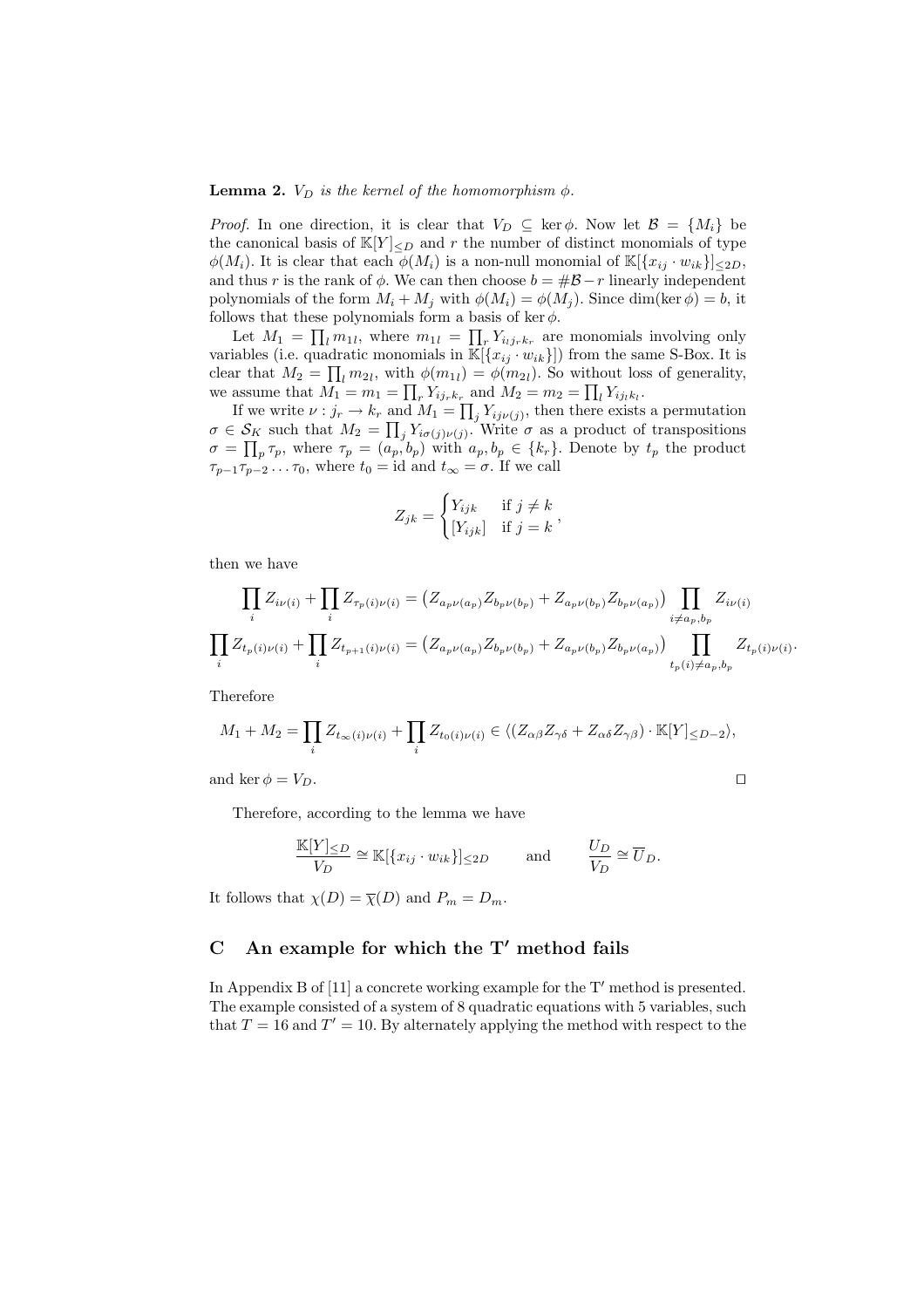#### **Lemma 2.**  $V_D$  is the kernel of the homomorphism  $\phi$ .

*Proof.* In one direction, it is clear that  $V_D \subseteq \text{ker } \phi$ . Now let  $\mathcal{B} = \{M_i\}$  be the canonical basis of  $\mathbb{K}[Y]_{\leq D}$  and r the number of distinct monomials of type  $\phi(M_i)$ . It is clear that each  $\phi(M_i)$  is a non-null monomial of  $\mathbb{K}[\{x_{ij} \cdot w_{ik}\}]_{\leq 2D}$ , and thus r is the rank of  $\phi$ . We can then choose  $b = \#B - r$  linearly independent polynomials of the form  $M_i + M_j$  with  $\phi(M_i) = \phi(M_i)$ . Since dim(ker  $\phi$ ) = b, it follows that these polynomials form a basis of ker  $\phi$ .

Let  $M_1 = \prod_l m_{1l}$ , where  $m_{1l} = \prod_r Y_{i_l j_r k_r}$  are monomials involving only variables (i.e. quadratic monomials in  $\mathbb{K}[\{x_{ij} \cdot w_{ik}\}]$ ) from the same S-Box. It is clear that  $M_2 = \prod_l m_{2l}$ , with  $\phi(m_{1l}) = \phi(m_{2l})$ . So without loss of generality, we assume that  $M_1 = m_1 = \prod_r Y_{ij_r k_r}$  and  $M_2 = m_2 = \prod_l Y_{ij_l k_l}$ .

If we write  $\nu : j_r \to k_r$  and  $M_1 = \prod_j Y_{ij\nu(j)}$ , then there exists a permutation If we write  $\nu : \mathcal{J}_r \to \kappa_r$  and<br>  $\sigma \in \mathcal{S}_K$  such that  $M_2 = \prod$  $S_K$  such that  $M_2 = \prod_j Y_{i\sigma(j)\nu(j)}$ . Write  $\sigma$  as a product of transpositions  $\sigma = \prod_p \tau_p$ , where  $\tau_p = (a_p, b_p)$  with  $a_p, b_p \in \{k_r\}$ . Denote by  $t_p$  the product  $\tau_{p-1}\tau_{p-2}\ldots\tau_0$ , where  $t_0 = id$  and  $t_\infty = \sigma$ . If we call

$$
Z_{jk} = \begin{cases} Y_{ijk} & \text{if } j \neq k \\ [Y_{ijk}] & \text{if } j = k \end{cases},
$$

then we have

$$
\prod_{i} Z_{i\nu(i)} + \prod_{i} Z_{\tau_p(i)\nu(i)} = (Z_{a_p\nu(a_p)} Z_{b_p\nu(b_p)} + Z_{a_p\nu(b_p)} Z_{b_p\nu(a_p)}) \prod_{i \neq a_p, b_p} Z_{i\nu(i)}
$$
  

$$
\prod_{i} Z_{t_p(i)\nu(i)} + \prod_{i} Z_{t_{p+1}(i)\nu(i)} = (Z_{a_p\nu(a_p)} Z_{b_p\nu(b_p)} + Z_{a_p\nu(b_p)} Z_{b_p\nu(a_p)}) \prod_{t_p(i) \neq a_p, b_p} Z_{t_p(i)\nu(i)}.
$$

Therefore

$$
M_1 + M_2 = \prod_i Z_{t_{\infty}(i)\nu(i)} + \prod_i Z_{t_0(i)\nu(i)} \in \langle (Z_{\alpha\beta}Z_{\gamma\delta} + Z_{\alpha\delta}Z_{\gamma\beta})\cdot \mathbb{K}[Y]_{\leq D-2} \rangle,
$$

and ker  $\phi = V_D$ .

Therefore, according to the lemma we have

$$
\frac{\mathbb{K}[Y]_{\leq D}}{V_D} \cong \mathbb{K}[\{x_{ij}\cdot w_{ik}\}]_{\leq 2D} \quad \text{and} \quad \frac{U_D}{V_D} \cong \overline{U}_D.
$$

It follows that  $\chi(D) = \overline{\chi}(D)$  and  $P_m = D_m$ .

## $C$  An example for which the  $T'$  method fails

In Appendix B of  $[11]$  a concrete working example for the  $T'$  method is presented. The example consisted of a system of 8 quadratic equations with 5 variables, such that  $T = 16$  and  $T' = 10$ . By alternately applying the method with respect to the